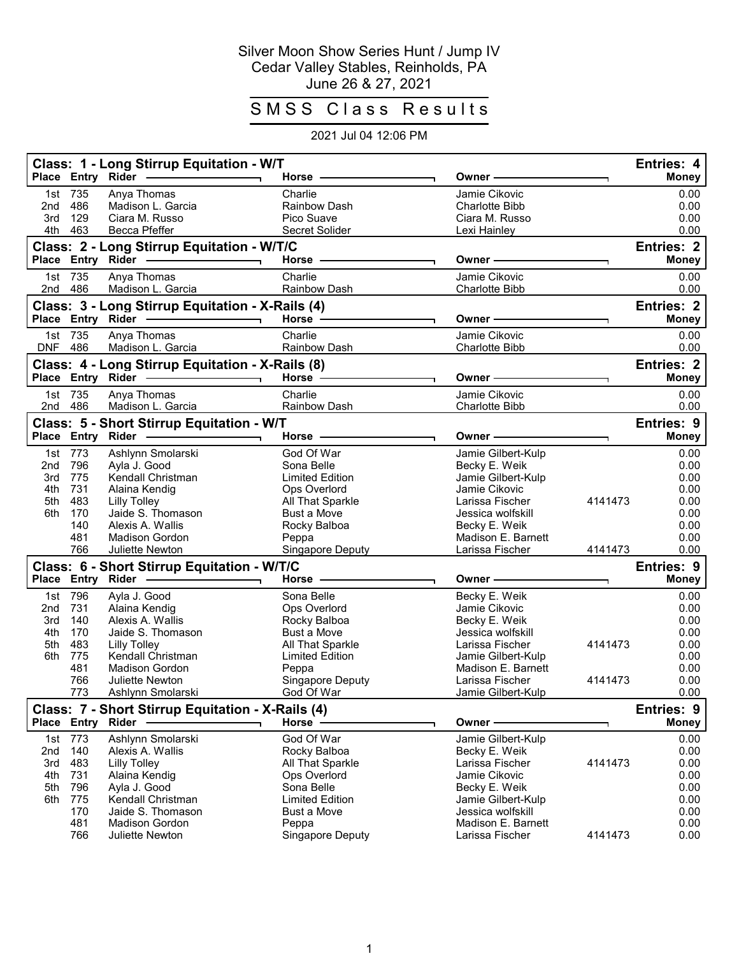## Silver Moon Show Series Hunt / Jump IV Cedar Valley Stables, Reinholds, PA June 26 & 27, 2021

## SMSS Class Results

## 2021 Jul 04 12:06 PM

|                   | Place Entry Rider | Class: 1 - Long Stirrup Equitation - W/T           | Horse -                                      | Owner                                             |         | Entries: 4<br><b>Money</b> |
|-------------------|-------------------|----------------------------------------------------|----------------------------------------------|---------------------------------------------------|---------|----------------------------|
| 1st<br>2nd<br>3rd | 735<br>486<br>129 | Anya Thomas<br>Madison L. Garcia<br>Ciara M. Russo | Charlie<br><b>Rainbow Dash</b><br>Pico Suave | Jamie Cikovic<br>Charlotte Bibb<br>Ciara M. Russo |         | 0.00<br>0.00<br>0.00       |
| 4th               | 463               | Becca Pfeffer                                      | Secret Solider                               | Lexi Hainley                                      |         | 0.00                       |
|                   |                   | Class: 2 - Long Stirrup Equitation - W/T/C         |                                              |                                                   |         | <b>Entries: 2</b>          |
|                   | Place Entry Rider |                                                    | Horse ·                                      | Owner -                                           |         | <b>Money</b>               |
| 2nd               | 1st 735<br>486    | Anya Thomas<br>Madison L. Garcia                   | Charlie<br>Rainbow Dash                      | Jamie Cikovic<br><b>Charlotte Bibb</b>            |         | 0.00<br>0.00               |
|                   |                   | Class: 3 - Long Stirrup Equitation - X-Rails (4)   |                                              |                                                   |         | Entries: 2                 |
|                   |                   | Place Entry Rider -<br>$\blacksquare$              | Horse $-$                                    | Owner -                                           |         | <b>Money</b>               |
| 1st<br><b>DNF</b> | 735<br>486        | Anya Thomas<br>Madison L. Garcia                   | Charlie<br>Rainbow Dash                      | Jamie Cikovic<br><b>Charlotte Bibb</b>            |         | 0.00<br>0.00               |
|                   |                   | Class: 4 - Long Stirrup Equitation - X-Rails (8)   |                                              |                                                   |         | <b>Entries: 2</b>          |
|                   |                   | Place Entry Rider -                                | Horse -                                      | Owner -                                           |         | <b>Money</b>               |
| 1st               | 735               | Anya Thomas                                        | Charlie                                      | Jamie Cikovic                                     |         | 0.00                       |
|                   | 2nd 486           | Madison L. Garcia                                  | Rainbow Dash                                 | Charlotte Bibb                                    |         | 0.00                       |
|                   |                   | Class: 5 - Short Stirrup Equitation - W/T          |                                              |                                                   |         | Entries: 9                 |
|                   |                   | Place Entry Rider                                  | Horse                                        | Owner ·                                           |         | <b>Money</b>               |
| 1st               | 773               | Ashlynn Smolarski                                  | God Of War                                   | Jamie Gilbert-Kulp                                |         | 0.00                       |
| 2nd               | 796               | Ayla J. Good                                       | Sona Belle                                   | Becky E. Weik                                     |         | 0.00                       |
| 3rd<br>4th        | 775<br>731        | Kendall Christman<br>Alaina Kendig                 | <b>Limited Edition</b><br>Ops Overlord       | Jamie Gilbert-Kulp<br>Jamie Cikovic               |         | 0.00<br>0.00               |
| 5th               | 483               | <b>Lilly Tolley</b>                                | All That Sparkle                             | Larissa Fischer                                   | 4141473 | 0.00                       |
| 6th               | 170               | Jaide S. Thomason                                  | <b>Bust a Move</b>                           | Jessica wolfskill                                 |         | 0.00                       |
|                   | 140               | Alexis A. Wallis                                   | Rocky Balboa                                 | Becky E. Weik                                     |         | 0.00                       |
|                   | 481               | <b>Madison Gordon</b>                              | Peppa                                        | Madison E. Barnett                                |         | 0.00                       |
|                   | 766               | Juliette Newton                                    | Singapore Deputy                             | Larissa Fischer                                   | 4141473 | 0.00                       |
|                   |                   | Class: 6 - Short Stirrup Equitation - W/T/C        |                                              |                                                   |         | <b>Entries: 9</b>          |
|                   | Place Entry Rider |                                                    | Horse -                                      | Owner -                                           |         | <b>Money</b>               |
| 1st               | 796               | Ayla J. Good                                       | Sona Belle                                   | Becky E. Weik                                     |         | 0.00                       |
| 2nd               | 731               | Alaina Kendig                                      | Ops Overlord                                 | Jamie Cikovic                                     |         | 0.00                       |
| 3rd<br>4th        | 140<br>170        | Alexis A. Wallis<br>Jaide S. Thomason              | Rocky Balboa<br><b>Bust a Move</b>           | Becky E. Weik<br>Jessica wolfskill                |         | 0.00<br>0.00               |
| 5th               | 483               | <b>Lilly Tolley</b>                                | All That Sparkle                             | Larissa Fischer                                   | 4141473 | 0.00                       |
| 6th               | 775               | Kendall Christman                                  | <b>Limited Edition</b>                       | Jamie Gilbert-Kulp                                |         | 0.00                       |
|                   | 481               | <b>Madison Gordon</b>                              | Peppa                                        | Madison E. Barnett                                |         | 0.00                       |
|                   | 766<br>773        | Juliette Newton<br>Ashlynn Smolarski               | Singapore Deputy<br>God Of War               | Larissa Fischer<br>Jamie Gilbert-Kulp             | 4141473 | 0.00<br>0.00               |
|                   |                   | Class: 7 - Short Stirrup Equitation - X-Rails (4)  |                                              |                                                   |         | Entries: 9                 |
|                   | Place Entry Rider |                                                    | Horse -                                      | Owner -                                           |         | <b>Money</b>               |
|                   | 1st 773           | Ashlynn Smolarski                                  | God Of War                                   | Jamie Gilbert-Kulp                                |         | 0.00                       |
| 2nd               | 140               | Alexis A. Wallis                                   | Rocky Balboa                                 | Becky E. Weik                                     |         | 0.00                       |
| 3rd<br>4th        | 483<br>731        | <b>Lilly Tolley</b><br>Alaina Kendig               | All That Sparkle<br>Ops Overlord             | Larissa Fischer<br>Jamie Cikovic                  | 4141473 | 0.00<br>0.00               |
| 5th               | 796               | Ayla J. Good                                       | Sona Belle                                   | Becky E. Weik                                     |         | 0.00                       |
| 6th               | 775               | Kendall Christman                                  | <b>Limited Edition</b>                       | Jamie Gilbert-Kulp                                |         | 0.00                       |
|                   | 170               | Jaide S. Thomason                                  | <b>Bust a Move</b>                           | Jessica wolfskill                                 |         | 0.00                       |
|                   | 481               | <b>Madison Gordon</b>                              | Peppa                                        | Madison E. Barnett                                |         | 0.00                       |
|                   | 766               | Juliette Newton                                    | Singapore Deputy                             | Larissa Fischer                                   | 4141473 | 0.00                       |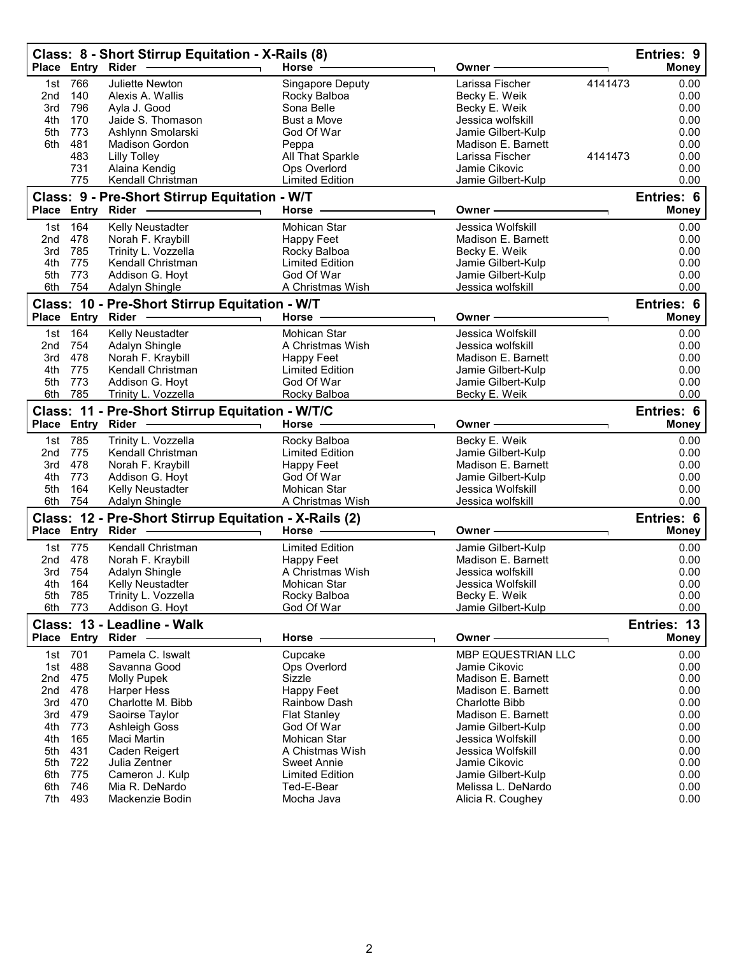|                 | Place Entry Rider | Class: 8 - Short Stirrup Equitation - X-Rails (8)      | Horse -                                 | Owner                                  | Entries: 9<br><b>Money</b> |
|-----------------|-------------------|--------------------------------------------------------|-----------------------------------------|----------------------------------------|----------------------------|
| 1st             | 766               | Juliette Newton                                        | Singapore Deputy                        | Larissa Fischer<br>4141473             | 0.00                       |
| 2 <sub>nd</sub> | 140               | Alexis A. Wallis                                       | Rocky Balboa                            | Becky E. Weik                          | 0.00                       |
| 3rd             | 796               | Ayla J. Good                                           | Sona Belle                              | Becky E. Weik                          | 0.00                       |
| 4th             | 170               | Jaide S. Thomason                                      | Bust a Move                             | Jessica wolfskill                      | 0.00                       |
| 5th             | 773               | Ashlynn Smolarski                                      | God Of War                              | Jamie Gilbert-Kulp                     | 0.00                       |
| 6th             | 481               | <b>Madison Gordon</b>                                  | Peppa                                   | Madison E. Barnett                     | 0.00                       |
|                 | 483               | <b>Lilly Tolley</b>                                    | All That Sparkle                        | Larissa Fischer<br>4141473             | 0.00                       |
|                 | 731               | Alaina Kendig                                          | Ops Overlord                            | Jamie Cikovic                          | 0.00                       |
|                 | 775               | Kendall Christman                                      | <b>Limited Edition</b>                  | Jamie Gilbert-Kulp                     | 0.00                       |
|                 |                   | Class: 9 - Pre-Short Stirrup Equitation - W/T          |                                         |                                        | Entries: 6                 |
|                 | Place Entry       | Rider                                                  | Horse                                   | Owner -                                | <b>Money</b>               |
| 1st             | 164               | Kelly Neustadter                                       | Mohican Star                            | Jessica Wolfskill                      | 0.00                       |
| 2nd             | 478               | Norah F. Kraybill                                      | Happy Feet                              | Madison E. Barnett                     | 0.00                       |
| 3rd             | 785               | Trinity L. Vozzella                                    | Rocky Balboa                            | Becky E. Weik                          | 0.00                       |
| 4th             | 775               | Kendall Christman                                      | <b>Limited Edition</b>                  | Jamie Gilbert-Kulp                     | 0.00                       |
| 5th             | 773               | Addison G. Hoyt                                        | God Of War                              | Jamie Gilbert-Kulp                     | 0.00                       |
|                 | 6th 754           | Adalyn Shingle                                         | A Christmas Wish                        | Jessica wolfskill                      | 0.00                       |
|                 |                   | Class: 10 - Pre-Short Stirrup Equitation - W/T         |                                         |                                        | Entries: 6                 |
|                 | Place Entry Rider |                                                        | Horse                                   | Owner                                  | <b>Money</b>               |
| 1st             | 164               | Kelly Neustadter                                       | Mohican Star                            | Jessica Wolfskill                      | 0.00                       |
| 2nd             | 754               | Adalyn Shingle                                         | A Christmas Wish                        | Jessica wolfskill                      | 0.00                       |
| 3rd             | 478               | Norah F. Kraybill                                      | Happy Feet                              | Madison E. Barnett                     | 0.00                       |
| 4th             | 775               | Kendall Christman                                      | <b>Limited Edition</b>                  | Jamie Gilbert-Kulp                     | 0.00                       |
| 5th             | 773               | Addison G. Hoyt                                        | God Of War                              | Jamie Gilbert-Kulp                     | 0.00                       |
| 6th             | 785               | Trinity L. Vozzella                                    | Rocky Balboa                            | Becky E. Weik                          | 0.00                       |
|                 | Place Entry Rider | Class: 11 - Pre-Short Stirrup Equitation - W/T/C       | Horse                                   | Owner⊹                                 | Entries: 6<br><b>Money</b> |
|                 |                   |                                                        |                                         |                                        |                            |
|                 | 1st 785           | Trinity L. Vozzella                                    | Rocky Balboa                            | Becky E. Weik                          | 0.00                       |
| 2 <sub>nd</sub> | 775               | Kendall Christman                                      | <b>Limited Edition</b>                  | Jamie Gilbert-Kulp                     | 0.00                       |
| 3rd             | 478               | Norah F. Kraybill                                      | Happy Feet                              | Madison E. Barnett                     | 0.00                       |
| 4th<br>5th      | 773<br>164        | Addison G. Hoyt                                        | God Of War                              | Jamie Gilbert-Kulp                     | 0.00                       |
|                 | 6th 754           | Kelly Neustadter<br>Adalyn Shingle                     | <b>Mohican Star</b><br>A Christmas Wish | Jessica Wolfskill<br>Jessica wolfskill | 0.00<br>0.00               |
|                 |                   |                                                        |                                         |                                        |                            |
|                 | Place Entry Rider | Class: 12 - Pre-Short Stirrup Equitation - X-Rails (2) | Horse                                   | Owner⊹                                 | Entries: 6<br><b>Money</b> |
|                 | 775               |                                                        |                                         | Jamie Gilbert-Kulp                     |                            |
| 1st<br>2nd      | 478               | Kendall Christman<br>Norah F. Kraybill                 | <b>Limited Edition</b><br>Happy Feet    | Madison E. Barnett                     | 0.00<br>0.00               |
| 3rd             | 754               | Adalyn Shingle                                         | A Christmas Wish                        | Jessica wolfskill                      | 0.00                       |
| 4th             | 164               | Kelly Neustadter                                       | Mohican Star                            | Jessica Wolfskill                      | 0.00                       |
| 5th             | 785               | Trinity L. Vozzella                                    | Rocky Balboa                            | Becky E. Weik                          | 0.00                       |
| 6th             | 773               | Addison G. Hoyt                                        | God Of War                              | Jamie Gilbert-Kulp                     | 0.00                       |
|                 |                   | Class: 13 - Leadline - Walk                            |                                         |                                        | Entries: 13                |
|                 | Place Entry Rider |                                                        | Horse                                   | Owner -                                | <b>Money</b>               |
| 1st             | 701               | Pamela C. Iswalt                                       | Cupcake                                 | MBP EQUESTRIAN LLC                     | 0.00                       |
| 1st             | 488               | Savanna Good                                           | Ops Overlord                            | Jamie Cikovic                          | 0.00                       |
| 2nd             | 475               | <b>Molly Pupek</b>                                     | Sizzle                                  | Madison E. Barnett                     | 0.00                       |
| 2nd             | 478               | <b>Harper Hess</b>                                     | <b>Happy Feet</b>                       | Madison E. Barnett                     | 0.00                       |
| 3rd             | 470               | Charlotte M. Bibb                                      | <b>Rainbow Dash</b>                     | <b>Charlotte Bibb</b>                  | 0.00                       |
| 3rd             | 479               | Saoirse Taylor                                         | <b>Flat Stanley</b>                     | Madison E. Barnett                     | 0.00                       |
| 4th             | 773               | Ashleigh Goss                                          | God Of War                              | Jamie Gilbert-Kulp                     | 0.00                       |
| 4th             | 165               | Maci Martin                                            | Mohican Star                            | Jessica Wolfskill                      | 0.00                       |
| 5th             | 431               | Caden Reigert                                          | A Chistmas Wish                         | Jessica Wolfskill                      | 0.00                       |
| 5th             | 722               | Julia Zentner                                          | <b>Sweet Annie</b>                      | Jamie Cikovic                          | 0.00                       |
| 6th             | 775               | Cameron J. Kulp                                        | <b>Limited Edition</b>                  | Jamie Gilbert-Kulp                     | 0.00                       |
| 6th             | 746               | Mia R. DeNardo                                         | Ted-E-Bear                              | Melissa L. DeNardo                     | 0.00                       |
| 7th             | 493               | Mackenzie Bodin                                        | Mocha Java                              | Alicia R. Coughey                      | 0.00                       |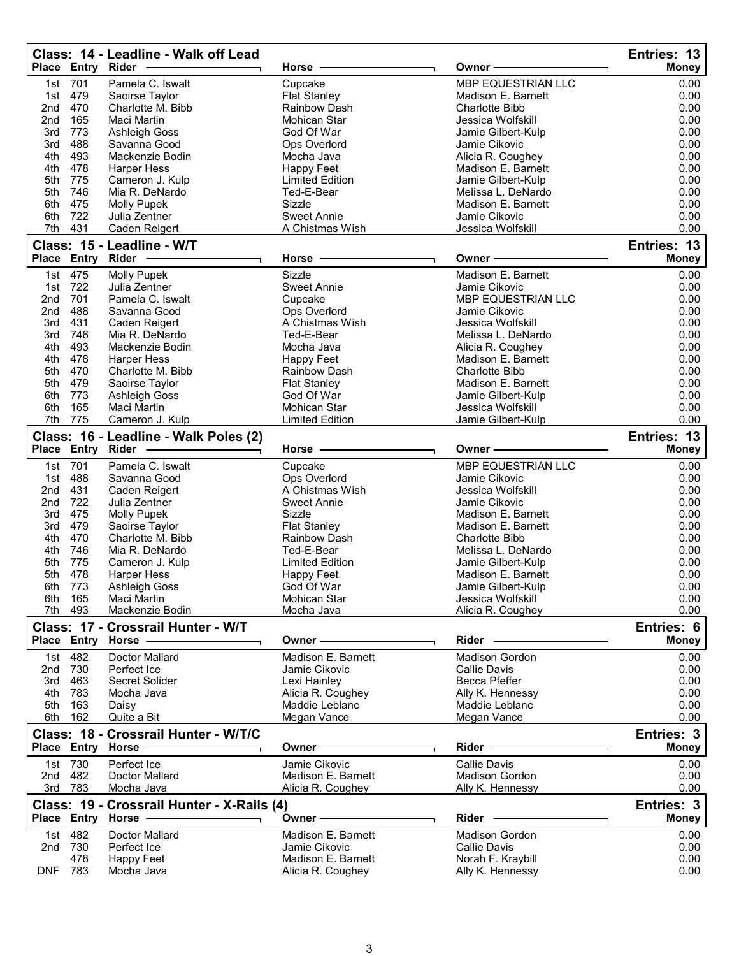|                 |                    | Class: 14 - Leadline - Walk off Lead<br>Place Entry Rider -     | Horse                               | Owner -                                  | Entries: 13<br><b>Money</b> |
|-----------------|--------------------|-----------------------------------------------------------------|-------------------------------------|------------------------------------------|-----------------------------|
| 1st             | 701                | Pamela C. Iswalt                                                | Cupcake                             | MBP EQUESTRIAN LLC                       | 0.00                        |
| 1st             | 479                | Saoirse Taylor                                                  | <b>Flat Stanley</b>                 | Madison E. Barnett                       | 0.00                        |
| 2nd             | 470                | Charlotte M. Bibb                                               | Rainbow Dash                        | <b>Charlotte Bibb</b>                    | 0.00                        |
| 2 <sub>nd</sub> | 165                | Maci Martin                                                     | Mohican Star                        | Jessica Wolfskill                        | 0.00                        |
| 3rd<br>3rd      | 773<br>488         | Ashleigh Goss<br>Savanna Good                                   | God Of War                          | Jamie Gilbert-Kulp<br>Jamie Cikovic      | 0.00<br>0.00                |
| 4th             | 493                | Mackenzie Bodin                                                 | Ops Overlord<br>Mocha Java          | Alicia R. Coughey                        | 0.00                        |
| 4th             | 478                | <b>Harper Hess</b>                                              | Happy Feet                          | Madison E. Barnett                       | 0.00                        |
| 5th             | 775                | Cameron J. Kulp                                                 | <b>Limited Edition</b>              | Jamie Gilbert-Kulp                       | 0.00                        |
| 5th             | 746                | Mia R. DeNardo                                                  | Ted-E-Bear                          | Melissa L. DeNardo                       | 0.00                        |
| 6th             | 475                | <b>Molly Pupek</b>                                              | Sizzle                              | Madison E. Barnett                       | 0.00                        |
| 6th             | 722                | Julia Zentner                                                   | <b>Sweet Annie</b>                  | Jamie Cikovic                            | 0.00                        |
| 7th             | 431                | <b>Caden Reigert</b><br>Class: 15 - Leadline - W/T              | A Chistmas Wish                     | Jessica Wolfskill                        | 0.00<br>Entries: 13         |
|                 | Place Entry Rider  |                                                                 | Horse                               | Owner -                                  | <b>Money</b>                |
|                 | 1st 475            | Molly Pupek                                                     | Sizzle                              | Madison E. Barnett                       | 0.00                        |
|                 | 1st 722            | Julia Zentner                                                   | Sweet Annie                         | Jamie Cikovic                            | 0.00                        |
| 2nd             | 701                | Pamela C. Iswalt                                                | Cupcake                             | MBP EQUESTRIAN LLC                       | 0.00                        |
| 2nd             | 488                | Savanna Good                                                    | Ops Overlord                        | Jamie Cikovic                            | 0.00                        |
| 3rd             | 431                | Caden Reigert                                                   | A Chistmas Wish                     | Jessica Wolfskill                        | 0.00                        |
| 3rd             | 746                | Mia R. DeNardo                                                  | Ted-E-Bear                          | Melissa L. DeNardo                       | 0.00                        |
| 4th<br>4th      | 493<br>478         | Mackenzie Bodin                                                 | Mocha Java                          | Alicia R. Coughey<br>Madison E. Barnett  | 0.00<br>0.00                |
| 5th             | 470                | <b>Harper Hess</b><br>Charlotte M. Bibb                         | Happy Feet<br>Rainbow Dash          | Charlotte Bibb                           | 0.00                        |
| 5th             | 479                | Saoirse Taylor                                                  | <b>Flat Stanley</b>                 | Madison E. Barnett                       | 0.00                        |
| 6th             | 773                | <b>Ashleigh Goss</b>                                            | God Of War                          | Jamie Gilbert-Kulp                       | 0.00                        |
| 6th             | 165                | Maci Martin                                                     | Mohican Star                        | Jessica Wolfskill                        | 0.00                        |
| 7th             | 775                | Cameron J. Kulp                                                 | <b>Limited Edition</b>              | Jamie Gilbert-Kulp                       | 0.00                        |
|                 |                    | Class: 16 - Leadline - Walk Poles (2)                           |                                     |                                          | Entries: 13                 |
| <b>Place</b>    | <b>Entry Rider</b> |                                                                 | Horse                               | Owner                                    | <b>Money</b>                |
| 1st             | 701                | Pamela C. Iswalt                                                | Cupcake                             | MBP EQUESTRIAN LLC                       | 0.00                        |
|                 |                    |                                                                 |                                     |                                          |                             |
| 1st             | 488                | Savanna Good                                                    | Ops Overlord                        | Jamie Cikovic                            | 0.00                        |
| 2nd             | 431                | Caden Reigert                                                   | A Chistmas Wish                     | Jessica Wolfskill                        | 0.00                        |
| 2 <sub>nd</sub> | 722                | Julia Zentner                                                   | <b>Sweet Annie</b>                  | Jamie Cikovic                            | 0.00                        |
| 3rd             | 475                | <b>Molly Pupek</b>                                              | Sizzle                              | Madison E. Barnett                       | 0.00                        |
| 3rd             | 479                | Saoirse Taylor                                                  | <b>Flat Stanley</b>                 | Madison E. Barnett                       | 0.00                        |
| 4th             | 470                | Charlotte M. Bibb                                               | <b>Rainbow Dash</b><br>Ted-E-Bear   | <b>Charlotte Bibb</b>                    | 0.00                        |
| 4th<br>5th      | 746<br>775         | Mia R. DeNardo                                                  | <b>Limited Edition</b>              | Melissa L. DeNardo<br>Jamie Gilbert-Kulp | 0.00<br>0.00                |
|                 | 5th 478            | Cameron J. Kulp<br><b>Harper Hess</b>                           | Happy Feet                          | Madison E. Barnett                       | 0.00                        |
| 6th             | 773                | <b>Ashleigh Goss</b>                                            | God Of War                          | Jamie Gilbert-Kulp                       | 0.00                        |
| 6th             | 165                | Maci Martin                                                     | Mohican Star                        | Jessica Wolfskill                        | 0.00                        |
| 7th             | 493                | Mackenzie Bodin                                                 | Mocha Java                          | Alicia R. Coughey                        | 0.00                        |
|                 |                    | Class: 17 - Crossrail Hunter - W/T                              | Owner -                             |                                          | Entries: 6                  |
|                 |                    | Place Entry Horse                                               |                                     | Rider                                    | <b>Money</b>                |
| 1st             | 482                | Doctor Mallard                                                  | Madison E. Barnett                  | Madison Gordon                           | 0.00                        |
| 2nd             | 730                | Perfect Ice                                                     | Jamie Cikovic                       | <b>Callie Davis</b>                      | 0.00                        |
| 3rd             | 463                | Secret Solider                                                  | Lexi Hainley                        | Becca Pfeffer                            | 0.00                        |
| 4th<br>5th      | 783<br>163         | Mocha Java<br>Daisy                                             | Alicia R. Coughey<br>Maddie Leblanc | Ally K. Hennessy<br>Maddie Leblanc       | 0.00<br>0.00                |
| 6th             | 162                | Quite a Bit                                                     | Megan Vance                         | Megan Vance                              | 0.00                        |
|                 |                    | Class: 18 - Crossrail Hunter - W/T/C                            |                                     |                                          | Entries: 3                  |
|                 | Place Entry Horse  |                                                                 | Owner -                             | Rider                                    | Money                       |
|                 | 1st 730            | Perfect Ice                                                     | Jamie Cikovic                       | <b>Callie Davis</b>                      | 0.00                        |
| 2nd             | 482                | <b>Doctor Mallard</b>                                           | Madison E. Barnett                  | <b>Madison Gordon</b>                    | 0.00                        |
| 3rd             | 783                | Mocha Java                                                      | Alicia R. Coughey                   | Ally K. Hennessy                         | 0.00                        |
|                 |                    | Class: 19 - Crossrail Hunter - X-Rails (4)<br>Place Entry Horse | <b>Owner</b>                        | Rider                                    | Entries: 3<br><b>Money</b>  |
|                 |                    | Doctor Mallard                                                  | Madison E. Barnett                  | <b>Madison Gordon</b>                    |                             |
| 2nd             | 1st 482<br>730     | Perfect Ice                                                     | Jamie Cikovic                       | <b>Callie Davis</b>                      | 0.00<br>0.00                |
|                 | 478<br>783         | <b>Happy Feet</b>                                               | Madison E. Barnett                  | Norah F. Kraybill                        | 0.00<br>0.00                |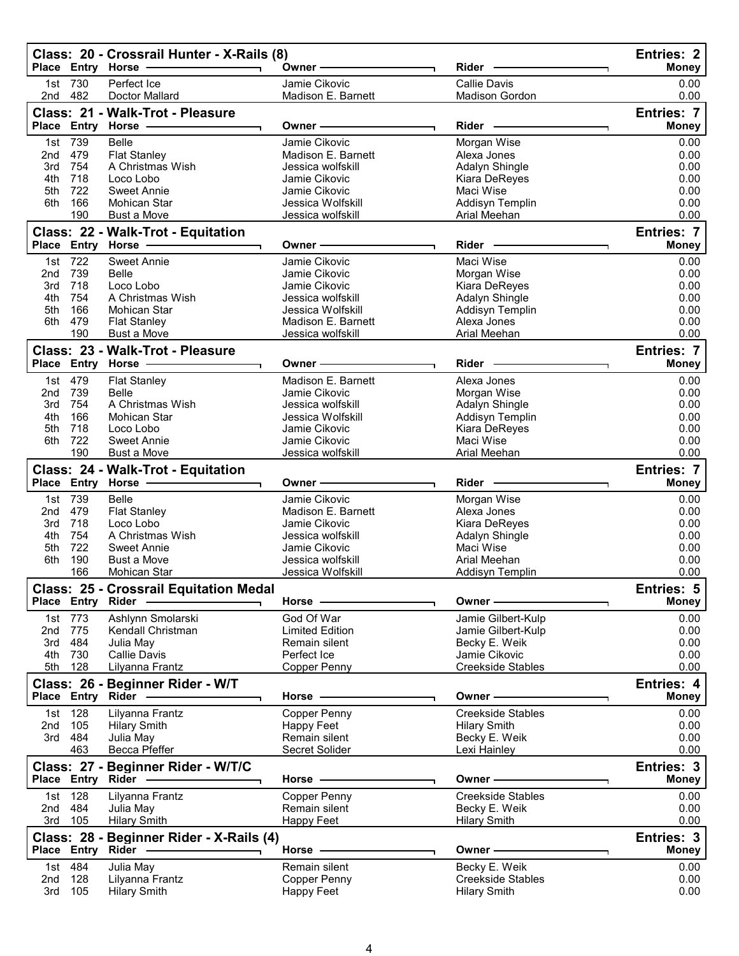|                 |                   | Class: 20 - Crossrail Hunter - X-Rails (8)<br>Place Entry Horse - | Owner-                              | <b>Rider</b>                                    | <b>Entries: 2</b><br><b>Money</b> |
|-----------------|-------------------|-------------------------------------------------------------------|-------------------------------------|-------------------------------------------------|-----------------------------------|
| 2nd             | 1st 730<br>482    | Perfect Ice<br>Doctor Mallard                                     | Jamie Cikovic<br>Madison E. Barnett | <b>Callie Davis</b><br><b>Madison Gordon</b>    | 0.00<br>0.00                      |
|                 |                   | Class: 21 - Walk-Trot - Pleasure<br>Place Entry Horse -           | Owner -                             | Rider                                           | <b>Entries: 7</b><br><b>Money</b> |
|                 | 1st 739           | Belle                                                             | Jamie Cikovic                       | Morgan Wise                                     | 0.00                              |
| 2 <sub>nd</sub> | 479               | <b>Flat Stanley</b>                                               | Madison E. Barnett                  | Alexa Jones                                     | 0.00                              |
| 3rd             | 754               | A Christmas Wish                                                  | Jessica wolfskill                   | Adalyn Shingle                                  | 0.00                              |
| 4th             | 718               | Loco Lobo                                                         | Jamie Cikovic                       | Kiara DeReyes                                   | 0.00                              |
| 5th             | 722               | Sweet Annie                                                       | Jamie Cikovic                       | Maci Wise                                       | 0.00                              |
| 6th             | 166               | Mohican Star                                                      | Jessica Wolfskill                   | Addisyn Templin                                 | 0.00                              |
|                 | 190               | <b>Bust a Move</b>                                                | Jessica wolfskill                   | Arial Meehan                                    | 0.00                              |
|                 | Place Entry       | Class: 22 - Walk-Trot - Equitation<br>Horse                       | Owner-                              | Rider                                           | Entries: 7<br><b>Money</b>        |
|                 | 722               | <b>Sweet Annie</b>                                                | Jamie Cikovic                       | Maci Wise                                       | 0.00                              |
| 1st<br>2nd      | 739               | <b>Belle</b>                                                      | Jamie Cikovic                       | Morgan Wise                                     | 0.00                              |
| 3rd             | 718               | Loco Lobo                                                         | Jamie Cikovic                       | Kiara DeReyes                                   | 0.00                              |
| 4th             | 754               | A Christmas Wish                                                  | Jessica wolfskill                   | Adalyn Shingle                                  | 0.00                              |
| 5th             | 166               | Mohican Star                                                      | Jessica Wolfskill                   | Addisyn Templin                                 | 0.00                              |
| 6th             | 479               | <b>Flat Stanley</b>                                               | Madison E. Barnett                  | Alexa Jones                                     | 0.00                              |
|                 | 190               | <b>Bust a Move</b>                                                | Jessica wolfskill                   | Arial Meehan                                    | 0.00                              |
|                 |                   | Class: 23 - Walk-Trot - Pleasure                                  |                                     |                                                 | <b>Entries: 7</b>                 |
|                 |                   | Place Entry Horse                                                 | Owner -                             | <b>Rider</b>                                    | <b>Money</b>                      |
|                 | 1st 479           | <b>Flat Stanley</b>                                               | Madison E. Barnett                  | Alexa Jones                                     | 0.00                              |
| 2nd             | 739               | Belle                                                             | Jamie Cikovic                       | Morgan Wise                                     | 0.00                              |
| 3rd             | 754               | A Christmas Wish                                                  | Jessica wolfskill                   | Adalyn Shingle                                  | 0.00                              |
| 4th             | 166               | Mohican Star                                                      | Jessica Wolfskill                   | Addisyn Templin                                 | 0.00                              |
| 5th             | 718               | Loco Lobo                                                         | Jamie Cikovic                       | Kiara DeReyes                                   | 0.00                              |
| 6th             | 722               | Sweet Annie                                                       | Jamie Cikovic                       | Maci Wise                                       | 0.00                              |
|                 | 190               | <b>Bust a Move</b>                                                | Jessica wolfskill                   | Arial Meehan                                    | 0.00                              |
|                 |                   | Class: 24 - Walk-Trot - Equitation                                |                                     |                                                 | <b>Entries: 7</b>                 |
|                 |                   | Place Entry Horse -                                               | Owner -                             | Rider -                                         | <b>Money</b>                      |
|                 |                   |                                                                   |                                     |                                                 |                                   |
| 1st             |                   | <b>Belle</b>                                                      | Jamie Cikovic                       |                                                 |                                   |
| 2 <sub>nd</sub> | 739<br>479        | <b>Flat Stanley</b>                                               | Madison E. Barnett                  | Morgan Wise<br>Alexa Jones                      | 0.00<br>0.00                      |
| 3rd             | 718               | Loco Lobo                                                         | Jamie Cikovic                       | Kiara DeReyes                                   | 0.00                              |
| 4th             | 754               | A Christmas Wish                                                  | Jessica wolfskill                   | Adalyn Shingle                                  | 0.00                              |
| 5th             | 722               | <b>Sweet Annie</b>                                                | Jamie Cikovic                       | Maci Wise                                       | 0.00                              |
| 6th             | 190               | Bust a Move                                                       | Jessica wolfskill                   | Arial Meehan                                    | 0.00                              |
|                 | 166               | Mohican Star                                                      | Jessica Wolfskill                   | Addisyn Templin                                 | 0.00                              |
|                 |                   | <b>Class: 25 - Crossrail Equitation Medal</b>                     | Horse                               | Owner                                           | Entries: 5                        |
|                 | Place Entry Rider |                                                                   |                                     |                                                 | <b>Money</b>                      |
|                 | 1st 773           | Ashlynn Smolarski                                                 | God Of War                          | Jamie Gilbert-Kulp                              | 0.00                              |
| 2nd             | 775               | Kendall Christman                                                 | <b>Limited Edition</b>              | Jamie Gilbert-Kulp                              | 0.00                              |
| 3rd             | 484               | Julia May<br><b>Callie Davis</b>                                  | Remain silent<br>Perfect Ice        | Becky E. Weik                                   | 0.00                              |
| 5th             | 4th 730<br>128    | Lilyanna Frantz                                                   | <b>Copper Penny</b>                 | Jamie Cikovic<br><b>Creekside Stables</b>       | 0.00<br>0.00                      |
|                 |                   |                                                                   |                                     |                                                 |                                   |
|                 |                   | Class: 26 - Beginner Rider - W/T<br>Place Entry Rider -           | Horse .                             | Owner -                                         | <b>Entries: 4</b><br><b>Money</b> |
|                 |                   |                                                                   |                                     |                                                 |                                   |
| 2nd             | 1st 128<br>105    | Lilyanna Frantz<br><b>Hilary Smith</b>                            | Copper Penny<br>Happy Feet          | <b>Creekside Stables</b><br><b>Hilary Smith</b> | 0.00<br>0.00                      |
|                 | 3rd 484           | Julia May                                                         | Remain silent                       | Becky E. Weik                                   | 0.00                              |
|                 | 463               | Becca Pfeffer                                                     | Secret Solider                      | Lexi Hainley                                    | 0.00                              |
|                 |                   | Class: 27 - Beginner Rider - W/T/C                                |                                     |                                                 | Entries: 3                        |
|                 | Place Entry Rider |                                                                   | Horse -                             | Owner -                                         | <b>Money</b>                      |
| 1st             | 128               | Lilyanna Frantz                                                   | Copper Penny                        | <b>Creekside Stables</b>                        | 0.00                              |
| 2nd             | 484               | Julia May                                                         | Remain silent                       | Becky E. Weik                                   | 0.00                              |
| 3rd             | 105               | <b>Hilary Smith</b>                                               | Happy Feet                          | <b>Hilary Smith</b>                             | 0.00                              |
|                 |                   | Class: 28 - Beginner Rider - X-Rails (4)                          |                                     |                                                 | Entries: 3                        |
|                 |                   | Place Entry Rider -                                               | Horse -                             | Owner -                                         | <b>Money</b>                      |
|                 | 1st 484           | Julia May                                                         | Remain silent                       |                                                 | 0.00                              |
| 2nd             | 128               | Lilyanna Frantz                                                   | Copper Penny                        | Becky E. Weik<br><b>Creekside Stables</b>       | 0.00                              |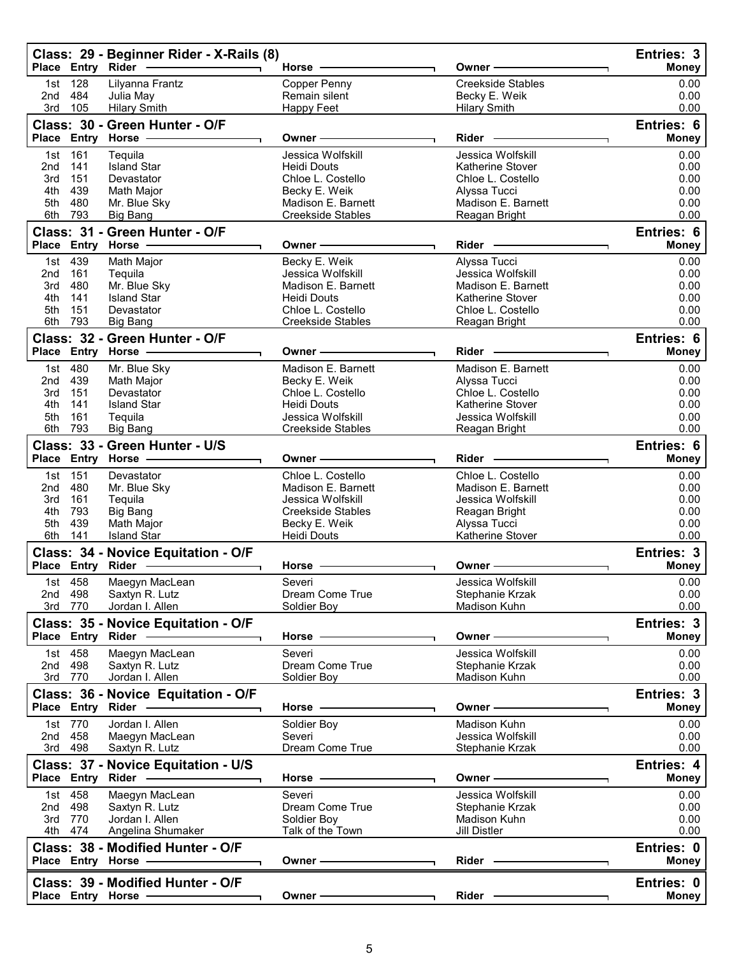|            | Place Entry Rider  | Class: 29 - Beginner Rider - X-Rails (8)              | Horse -                                                                                                                                                                                                                       | Owner -                                      | Entries: 3<br>Money        |
|------------|--------------------|-------------------------------------------------------|-------------------------------------------------------------------------------------------------------------------------------------------------------------------------------------------------------------------------------|----------------------------------------------|----------------------------|
| 1st<br>2nd | 128<br>484         | Lilyanna Frantz<br>Julia May                          | Copper Penny<br>Remain silent                                                                                                                                                                                                 | <b>Creekside Stables</b><br>Becky E. Weik    | 0.00<br>0.00               |
| 3rd        | 105                | <b>Hilary Smith</b>                                   | Happy Feet                                                                                                                                                                                                                    | <b>Hilary Smith</b>                          | 0.00                       |
|            |                    | Class: 30 - Green Hunter - O/F                        |                                                                                                                                                                                                                               |                                              | Entries: 6                 |
|            |                    | Place Entry Horse -                                   | Owner -                                                                                                                                                                                                                       | Rider -                                      | <b>Money</b>               |
| 1st        | 161                | Tequila<br><b>Island Star</b>                         | Jessica Wolfskill                                                                                                                                                                                                             | Jessica Wolfskill                            | 0.00                       |
| 2nd<br>3rd | 141<br>151         | Devastator                                            | Heidi Douts<br>Chloe L. Costello                                                                                                                                                                                              | Katherine Stover<br>Chloe L. Costello        | 0.00<br>0.00               |
| 4th        | 439                | Math Major                                            | Becky E. Weik                                                                                                                                                                                                                 | Alyssa Tucci                                 | 0.00                       |
| 5th        | 480                | Mr. Blue Sky                                          | Madison E. Barnett                                                                                                                                                                                                            | Madison E. Barnett                           | 0.00                       |
|            | 6th 793            | <b>Big Bang</b>                                       | Creekside Stables                                                                                                                                                                                                             | Reagan Bright                                | 0.00                       |
|            |                    | Class: 31 - Green Hunter - O/F<br>Place Entry Horse - | Owner ————                                                                                                                                                                                                                    | Rider -                                      | Entries: 6<br><b>Money</b> |
|            | 1st 439            | Math Major                                            | Becky E. Weik                                                                                                                                                                                                                 | Alyssa Tucci                                 | 0.00                       |
| 2nd        | 161                | Tequila                                               | Jessica Wolfskill                                                                                                                                                                                                             | Jessica Wolfskill                            | 0.00                       |
| 3rd        | 480                | Mr. Blue Sky                                          | Madison E. Barnett                                                                                                                                                                                                            | Madison E. Barnett                           | 0.00                       |
| 4th        | 141                | <b>Island Star</b>                                    | Heidi Douts                                                                                                                                                                                                                   | Katherine Stover                             | 0.00                       |
| 5th<br>6th | 151<br>793         | Devastator<br><b>Big Bang</b>                         | Chloe L. Costello<br><b>Creekside Stables</b>                                                                                                                                                                                 | Chloe L. Costello<br>Reagan Bright           | 0.00<br>0.00               |
|            |                    | Class: 32 - Green Hunter - O/F                        |                                                                                                                                                                                                                               |                                              | Entries: 6                 |
|            |                    | Place Entry Horse                                     | Owner - The Common Common Common Common Common Common Common Common Common Common Common Common Common Common Common Common Common Common Common Common Common Common Common Common Common Common Common Common Common Common | Rider -                                      | <b>Money</b>               |
|            | 1st 480            | Mr. Blue Sky                                          | Madison E. Barnett                                                                                                                                                                                                            | Madison E. Barnett                           | 0.00                       |
| 2nd        | 439                | Math Major                                            | Becky E. Weik                                                                                                                                                                                                                 | Alyssa Tucci                                 | 0.00                       |
| 3rd        | 151                | Devastator                                            | Chloe L. Costello                                                                                                                                                                                                             | Chloe L. Costello                            | 0.00                       |
| 4th<br>5th | 141<br>161         | <b>Island Star</b><br>Tequila                         | <b>Heidi Douts</b><br>Jessica Wolfskill                                                                                                                                                                                       | <b>Katherine Stover</b><br>Jessica Wolfskill | 0.00<br>0.00               |
| 6th        | 793                | <b>Big Bang</b>                                       | Creekside Stables                                                                                                                                                                                                             | Reagan Bright                                | 0.00                       |
|            |                    | Class: 33 - Green Hunter - U/S                        |                                                                                                                                                                                                                               |                                              | Entries: 6                 |
|            |                    |                                                       | Owner -                                                                                                                                                                                                                       | Rider ·                                      | <b>Money</b>               |
| 1st        | 151                | Devastator                                            | Chloe L. Costello                                                                                                                                                                                                             | Chloe L. Costello                            | 0.00                       |
| 2nd        | 480                | Mr. Blue Sky                                          | Madison E. Barnett                                                                                                                                                                                                            | Madison E. Barnett                           | 0.00                       |
| 3rd<br>4th | 161<br>793         | Tequila<br><b>Big Bang</b>                            | Jessica Wolfskill<br><b>Creekside Stables</b>                                                                                                                                                                                 | Jessica Wolfskill<br>Reagan Bright           | 0.00<br>0.00               |
| 5th        | 439                | <b>Math Major</b>                                     | Becky E. Weik                                                                                                                                                                                                                 | Alyssa Tucci                                 | 0.00                       |
| 6th        | 141                | <b>Island Star</b>                                    | Heidi Douts                                                                                                                                                                                                                   | Katherine Stover                             | 0.00                       |
|            |                    | Class: 34 - Novice Equitation - O/F                   |                                                                                                                                                                                                                               |                                              | Entries: 3                 |
|            | Place Entry        |                                                       | Horse ·                                                                                                                                                                                                                       | Owner -                                      | Money                      |
|            | 1st 458<br>2nd 498 | Maegyn MacLean<br>Saxtyn R. Lutz                      | Severi<br>Dream Come True                                                                                                                                                                                                     | Jessica Wolfskill<br>Stephanie Krzak         | 0.00<br>0.00               |
|            | 3rd 770            | Jordan I. Allen                                       | Soldier Boy                                                                                                                                                                                                                   | Madison Kuhn                                 | 0.00                       |
|            |                    | Class: 35 - Novice Equitation - O/F                   |                                                                                                                                                                                                                               |                                              | Entries: 3                 |
|            |                    | Place Entry Rider -                                   | Horse -------------                                                                                                                                                                                                           | Owner -                                      | <b>Money</b>               |
|            | 1st 458            | Maegyn MacLean                                        | Severi                                                                                                                                                                                                                        | Jessica Wolfskill                            | 0.00                       |
|            | 2nd 498            | Saxtyn R. Lutz                                        | Dream Come True                                                                                                                                                                                                               | Stephanie Krzak                              | 0.00                       |
|            | 3rd 770            | Jordan I. Allen                                       | Soldier Boy                                                                                                                                                                                                                   | Madison Kuhn                                 | 0.00                       |
|            |                    | Class: 36 - Novice Equitation - O/F                   | Horse -                                                                                                                                                                                                                       | Owner-                                       | Entries: 3<br><b>Money</b> |
|            | 1st 770            | Jordan I. Allen                                       | Soldier Boy                                                                                                                                                                                                                   | Madison Kuhn                                 | 0.00                       |
|            | 2nd 458            | Maegyn MacLean                                        | Severi                                                                                                                                                                                                                        | Jessica Wolfskill                            | 0.00                       |
|            | 3rd 498            | Saxtyn R. Lutz                                        | Dream Come True                                                                                                                                                                                                               | Stephanie Krzak                              | 0.00                       |
|            |                    | Class: 37 - Novice Equitation - U/S                   |                                                                                                                                                                                                                               |                                              | Entries: 4                 |
|            |                    | Place Entry Rider -                                   | Horse -                                                                                                                                                                                                                       | Owner -                                      | <b>Money</b>               |
|            | 1st 458            | Maegyn MacLean                                        | Severi                                                                                                                                                                                                                        | Jessica Wolfskill                            | 0.00                       |
|            | 2nd 498<br>3rd 770 | Saxtyn R. Lutz<br>Jordan I. Allen                     | Dream Come True<br>Soldier Boy                                                                                                                                                                                                | Stephanie Krzak<br>Madison Kuhn              | 0.00<br>0.00               |
|            | 4th 474            | Angelina Shumaker                                     | Talk of the Town                                                                                                                                                                                                              | Jill Distler                                 | 0.00                       |
|            |                    | Class: 38 - Modified Hunter - O/F                     |                                                                                                                                                                                                                               |                                              | Entries: 0                 |
|            |                    | Place Entry Horse ------------                        | Owner ————                                                                                                                                                                                                                    | Rider —                                      | <b>Money</b>               |
|            |                    | Class: 39 - Modified Hunter - O/F                     |                                                                                                                                                                                                                               |                                              | Entries: 0                 |
|            |                    | Place Entry Horse -                                   | Owner -                                                                                                                                                                                                                       | Rider -                                      | Money                      |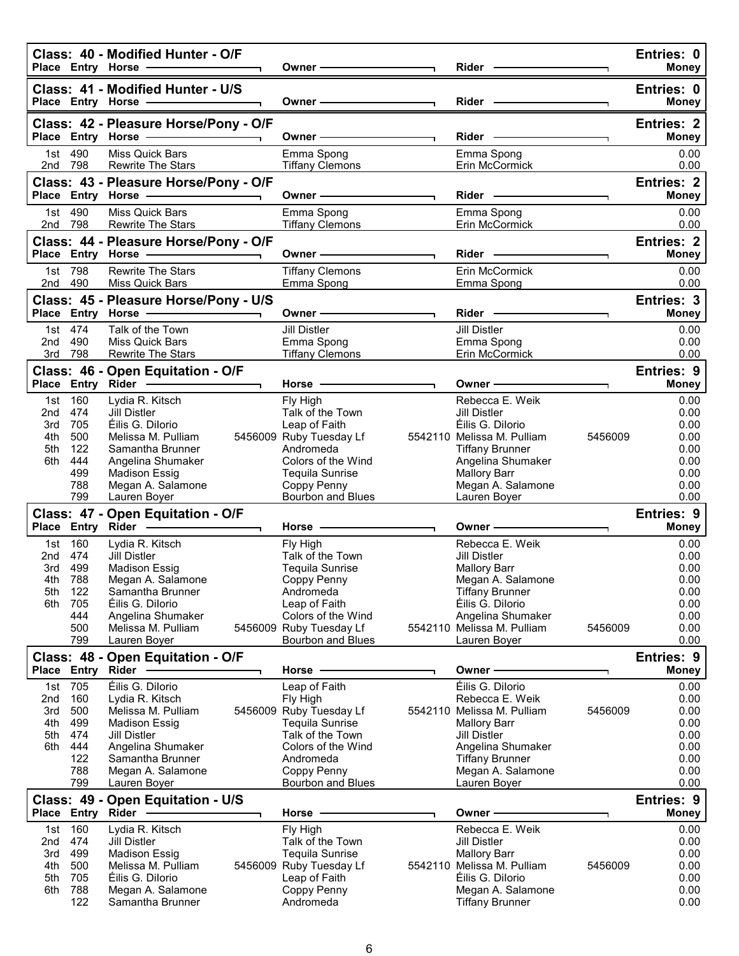|                                        |                                                                 | Class: 40 - Modified Hunter - O/F<br>Place Entry Horse -                                                                                                                                                                                                           | Owner -                                                                                                                                                                       | Rider -                                                                                                                                                                                                        |         | Entries: 0<br><b>Money</b>                                                           |
|----------------------------------------|-----------------------------------------------------------------|--------------------------------------------------------------------------------------------------------------------------------------------------------------------------------------------------------------------------------------------------------------------|-------------------------------------------------------------------------------------------------------------------------------------------------------------------------------|----------------------------------------------------------------------------------------------------------------------------------------------------------------------------------------------------------------|---------|--------------------------------------------------------------------------------------|
|                                        |                                                                 | Class: 41 - Modified Hunter - U/S<br>Place Entry Horse - The Management of the Management of the Management of the Management of the Management of the Management of the Management of the Management of the Management of the Management of the Management of the | Owner-                                                                                                                                                                        | Rider -                                                                                                                                                                                                        |         | Entries: 0<br><b>Money</b>                                                           |
|                                        |                                                                 | Class: 42 - Pleasure Horse/Pony - O/F<br>Place Entry Horse -                                                                                                                                                                                                       | Owner —                                                                                                                                                                       | Rider -                                                                                                                                                                                                        |         | <b>Entries: 2</b><br><b>Money</b>                                                    |
|                                        | 1st 490<br>2nd 798                                              | Miss Quick Bars<br><b>Rewrite The Stars</b>                                                                                                                                                                                                                        | Emma Spong<br><b>Tiffany Clemons</b>                                                                                                                                          | Emma Spong<br>Erin McCormick                                                                                                                                                                                   |         | 0.00<br>0.00                                                                         |
|                                        |                                                                 | Class: 43 - Pleasure Horse/Pony - O/F<br>Place Entry Horse -                                                                                                                                                                                                       | Owner -                                                                                                                                                                       | Rider -                                                                                                                                                                                                        |         | <b>Entries: 2</b><br><b>Money</b>                                                    |
|                                        | 1st 490<br>2nd 798                                              | Miss Quick Bars                                                                                                                                                                                                                                                    | Emma Spong                                                                                                                                                                    | Emma Spong                                                                                                                                                                                                     |         | 0.00                                                                                 |
|                                        |                                                                 | <b>Rewrite The Stars</b><br>Class: 44 - Pleasure Horse/Pony - O/F                                                                                                                                                                                                  | <b>Tiffany Clemons</b>                                                                                                                                                        | Erin McCormick                                                                                                                                                                                                 |         | 0.00<br><b>Entries: 2</b>                                                            |
|                                        | 1st 798                                                         | Place Entry Horse -<br><b>Rewrite The Stars</b>                                                                                                                                                                                                                    | Owner-<br><b>Tiffany Clemons</b>                                                                                                                                              | Rider -<br>Erin McCormick                                                                                                                                                                                      |         | <b>Money</b><br>0.00                                                                 |
|                                        | 2nd 490                                                         | Miss Quick Bars                                                                                                                                                                                                                                                    | Emma Spong                                                                                                                                                                    | Emma Spong                                                                                                                                                                                                     |         | 0.00                                                                                 |
|                                        |                                                                 | Class: 45 - Pleasure Horse/Pony - U/S                                                                                                                                                                                                                              | Owner-                                                                                                                                                                        | Rider -                                                                                                                                                                                                        |         | Entries: 3<br><b>Money</b>                                                           |
| 2nd                                    | 1st 474<br>490                                                  | Talk of the Town<br>Miss Quick Bars                                                                                                                                                                                                                                | <b>Jill Distler</b><br>Emma Spong                                                                                                                                             | Jill Distler<br>Emma Spong                                                                                                                                                                                     |         | 0.00<br>0.00                                                                         |
| 3rd                                    | 798                                                             | <b>Rewrite The Stars</b>                                                                                                                                                                                                                                           | <b>Tiffany Clemons</b>                                                                                                                                                        | Erin McCormick                                                                                                                                                                                                 |         | 0.00                                                                                 |
|                                        |                                                                 | Class: 46 - Open Equitation - O/F<br>Place Entry Rider -------------                                                                                                                                                                                               | Horse $-$                                                                                                                                                                     | Owner -                                                                                                                                                                                                        |         | <b>Entries: 9</b><br><b>Money</b>                                                    |
| 2nd<br>3rd<br>4th<br>5th<br>6th        | 1st 160<br>474<br>705<br>500<br>122<br>444<br>499<br>788<br>799 | Lydia R. Kitsch<br>Jill Distler<br>Éilis G. Dilorio<br>Melissa M. Pulliam<br>Samantha Brunner<br>Angelina Shumaker<br><b>Madison Essig</b><br>Megan A. Salamone<br>Lauren Boyer                                                                                    | Fly High<br>Talk of the Town<br>Leap of Faith<br>5456009 Ruby Tuesday Lf<br>Andromeda<br>Colors of the Wind<br>Tequila Sunrise<br>Coppy Penny<br>Bourbon and Blues            | Rebecca E. Weik<br>Jill Distler<br>Éilis G. Dilorio<br>5542110 Melissa M. Pulliam<br><b>Tiffany Brunner</b><br>Angelina Shumaker<br><b>Mallory Barr</b><br>Megan A. Salamone<br>Lauren Boyer                   | 5456009 | 0.00<br>0.00<br>0.00<br>0.00<br>0.00<br>0.00<br>0.00<br>0.00<br>0.00                 |
|                                        |                                                                 | Class: 47 - Open Equitation - O/F                                                                                                                                                                                                                                  |                                                                                                                                                                               |                                                                                                                                                                                                                |         | <b>Entries: 9</b>                                                                    |
| 3rd<br>4th<br>5th<br>6th               | 1st 160<br>2nd 474<br>499<br>788<br>122<br>705<br>444<br>500    | Place Entry Rider -<br>Lydia R. Kitsch<br><b>Jill Distler</b><br><b>Madison Essig</b><br>Megan A. Salamone<br>Samantha Brunner<br>Éilis G. Dilorio<br>Angelina Shumaker<br>Melissa M. Pulliam                                                                      | Horse -<br>Fly High<br>Talk of the Town<br><b>Tequila Sunrise</b><br>Coppy Penny<br>Andromeda<br>Leap of Faith<br>Colors of the Wind<br>5456009 Ruby Tuesday Lf               | Owner –<br>Rebecca E. Weik<br><b>Jill Distler</b><br><b>Mallory Barr</b><br>Megan A. Salamone<br><b>Tiffany Brunner</b><br>Éilis G. Dilorio<br>Angelina Shumaker<br>5542110 Melissa M. Pulliam                 | 5456009 | <b>Money</b><br>0.00<br>0.00<br>0.00<br>0.00<br>0.00<br>0.00<br>0.00<br>0.00         |
|                                        | 799                                                             | Lauren Boyer<br>Class: 48 - Open Equitation - O/F                                                                                                                                                                                                                  | Bourbon and Blues                                                                                                                                                             | Lauren Boyer                                                                                                                                                                                                   |         | 0.00<br><b>Entries: 9</b>                                                            |
| 2nd<br>3rd<br>4th<br>5th<br>6th        | 1st 705<br>160<br>500<br>499<br>474<br>444<br>122<br>788<br>799 | Place Entry Rider -<br>Éilis G. Dilorio<br>Lydia R. Kitsch<br>Melissa M. Pulliam<br><b>Madison Essig</b><br><b>Jill Distler</b><br>Angelina Shumaker<br>Samantha Brunner<br>Megan A. Salamone<br>Lauren Boyer                                                      | Horse -<br>Leap of Faith<br>Fly High<br>5456009 Ruby Tuesday Lf<br>Tequila Sunrise<br>Talk of the Town<br>Colors of the Wind<br>Andromeda<br>Coppy Penny<br>Bourbon and Blues | Owner -<br>Éilis G. Dilorio<br>Rebecca E. Weik<br>5542110 Melissa M. Pulliam<br><b>Mallory Barr</b><br><b>Jill Distler</b><br>Angelina Shumaker<br><b>Tiffany Brunner</b><br>Megan A. Salamone<br>Lauren Boyer | 5456009 | <b>Money</b><br>0.00<br>0.00<br>0.00<br>0.00<br>0.00<br>0.00<br>0.00<br>0.00<br>0.00 |
|                                        | Place Entry Rider                                               | Class: 49 - Open Equitation - U/S                                                                                                                                                                                                                                  | Horse                                                                                                                                                                         | Owner -                                                                                                                                                                                                        |         | <b>Entries: 9</b><br><b>Money</b>                                                    |
| 1st<br>2nd<br>3rd<br>4th<br>5th<br>6th | 160<br>474<br>499<br>500<br>705<br>788<br>122                   | Lydia R. Kitsch<br><b>Jill Distler</b><br><b>Madison Essig</b><br>Melissa M. Pulliam<br>Éilis G. Dilorio<br>Megan A. Salamone<br>Samantha Brunner                                                                                                                  | Fly High<br>Talk of the Town<br><b>Tequila Sunrise</b><br>5456009 Ruby Tuesday Lf<br>Leap of Faith<br>Coppy Penny<br>Andromeda                                                | Rebecca E. Weik<br><b>Jill Distler</b><br><b>Mallory Barr</b><br>5542110 Melissa M. Pulliam<br>Éilis G. Dilorio<br>Megan A. Salamone<br><b>Tiffany Brunner</b>                                                 | 5456009 | 0.00<br>0.00<br>0.00<br>0.00<br>0.00<br>0.00<br>0.00                                 |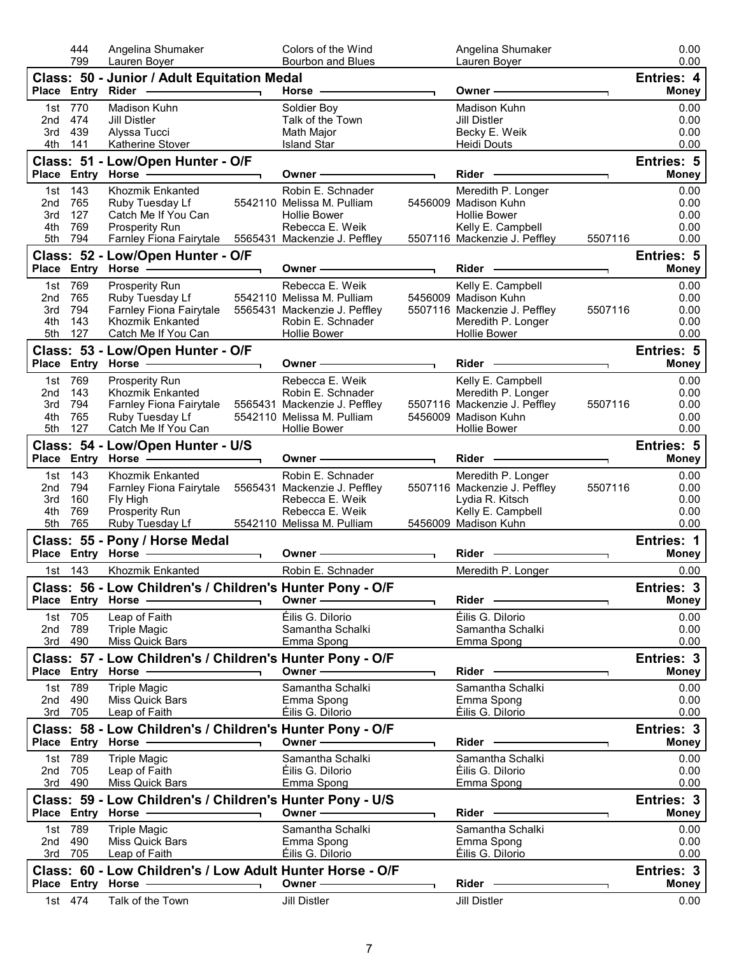|            | 444<br>799     | Angelina Shumaker<br>Lauren Boyer                                                                                                                                                                                              | Colors of the Wind<br>Bourbon and Blues | Angelina Shumaker<br>Lauren Boyer                 |         | 0.00<br>0.00               |
|------------|----------------|--------------------------------------------------------------------------------------------------------------------------------------------------------------------------------------------------------------------------------|-----------------------------------------|---------------------------------------------------|---------|----------------------------|
|            |                | Class: 50 - Junior / Adult Equitation Medal                                                                                                                                                                                    |                                         |                                                   |         | Entries: 4                 |
|            |                |                                                                                                                                                                                                                                | Horse —                                 | Owner-                                            |         | <b>Money</b>               |
|            | 1st 770        | Madison Kuhn                                                                                                                                                                                                                   | Soldier Boy                             | Madison Kuhn                                      |         | 0.00                       |
| 2nd        | 474            | <b>Jill Distler</b>                                                                                                                                                                                                            | Talk of the Town                        | <b>Jill Distler</b>                               |         | 0.00                       |
|            | 3rd 439        | Alyssa Tucci                                                                                                                                                                                                                   | Math Major                              | Becky E. Weik                                     |         | 0.00                       |
|            | 4th 141        | Katherine Stover                                                                                                                                                                                                               | <b>Island Star</b>                      | <b>Heidi Douts</b>                                |         | 0.00                       |
|            |                | Class: 51 - Low/Open Hunter - O/F                                                                                                                                                                                              |                                         |                                                   |         | <b>Entries: 5</b>          |
|            |                | Place Entry Horse - 2000                                                                                                                                                                                                       | Owner -                                 | $Rider -$                                         |         | <b>Money</b>               |
|            | 1st 143        | Khozmik Enkanted                                                                                                                                                                                                               | Robin E. Schnader                       | Meredith P. Longer                                |         | 0.00                       |
| 2nd        | 765            | Ruby Tuesday Lf                                                                                                                                                                                                                | 5542110 Melissa M. Pulliam              | 5456009 Madison Kuhn                              |         | 0.00                       |
| 3rd        | 127            | Catch Me If You Can                                                                                                                                                                                                            | <b>Hollie Bower</b>                     | <b>Hollie Bower</b>                               |         | 0.00                       |
| 4th<br>5th | 769<br>794     | <b>Prosperity Run</b><br>Farnley Fiona Fairytale 5565431 Mackenzie J. Peffley                                                                                                                                                  | Rebecca E. Weik                         | Kelly E. Campbell<br>5507116 Mackenzie J. Peffley | 5507116 | 0.00<br>0.00               |
|            |                | Class: 52 - Low/Open Hunter - O/F                                                                                                                                                                                              |                                         |                                                   |         | <b>Entries: 5</b>          |
|            |                |                                                                                                                                                                                                                                | Owner -                                 | Rider —                                           | ٦.      | <b>Money</b>               |
|            | 1st 769        | Prosperity Run                                                                                                                                                                                                                 | Rebecca E. Weik                         | Kelly E. Campbell                                 |         | 0.00                       |
| 2nd        | 765            | Ruby Tuesday Lf                                                                                                                                                                                                                | 5542110 Melissa M. Pulliam              | 5456009 Madison Kuhn                              |         | 0.00                       |
| 3rd        | 794            | Farnley Fiona Fairytale 5565431 Mackenzie J. Peffley                                                                                                                                                                           |                                         | 5507116 Mackenzie J. Peffley                      | 5507116 | 0.00                       |
| 4th        | 143            | Khozmik Enkanted                                                                                                                                                                                                               | Robin E. Schnader                       | Meredith P. Longer                                |         | 0.00                       |
| 5th        | 127            | Catch Me If You Can                                                                                                                                                                                                            | <b>Hollie Bower</b>                     | Hollie Bower                                      |         | 0.00                       |
|            |                | Class: 53 - Low/Open Hunter - O/F                                                                                                                                                                                              |                                         |                                                   |         | Entries: 5                 |
|            |                | Place Entry Horse - and Discount of the Marian Place of the Marian Place of the Marian Place of the Marian Place of the Marian Place of the Marian Place of the Marian Place of the Marian Place of the Marian Place of the Ma | Owner-                                  | Rider -                                           |         | <b>Money</b>               |
|            | 1st 769        | Prosperity Run                                                                                                                                                                                                                 | Rebecca E. Weik                         | Kelly E. Campbell                                 |         | 0.00                       |
| 2nd        | 143            | Khozmik Enkanted                                                                                                                                                                                                               | Robin E. Schnader                       | Meredith P. Longer                                |         | 0.00                       |
| 3rd        | 794            | Farnley Fiona Fairytale 5565431 Mackenzie J. Peffley                                                                                                                                                                           |                                         | 5507116 Mackenzie J. Peffley                      | 5507116 | 0.00                       |
| 4th        | 765            | Ruby Tuesday Lf                                                                                                                                                                                                                | 5542110 Melissa M. Pulliam              | 5456009 Madison Kuhn                              |         | 0.00                       |
| 5th        | 127            | Catch Me If You Can                                                                                                                                                                                                            | Hollie Bower                            | Hollie Bower                                      |         | 0.00                       |
|            |                | Class: 54 - Low/Open Hunter - U/S                                                                                                                                                                                              |                                         |                                                   |         | <b>Entries: 5</b>          |
|            |                | Place Entry Horse - and Discount of the Place Entry Horse                                                                                                                                                                      | Owner -                                 | Rider -                                           |         | <b>Money</b>               |
|            |                |                                                                                                                                                                                                                                |                                         |                                                   |         |                            |
|            | 1st 143        | Khozmik Enkanted                                                                                                                                                                                                               | Robin E. Schnader                       | Meredith P. Longer                                |         | 0.00                       |
| 2nd        | 794            | Farnley Fiona Fairytale 5565431 Mackenzie J. Peffley                                                                                                                                                                           |                                         | 5507116 Mackenzie J. Peffley                      | 5507116 | 0.00                       |
| 3rd        | 160            | Fly High                                                                                                                                                                                                                       | Rebecca E. Weik                         | Lydia R. Kitsch                                   |         | 0.00                       |
| 4th<br>5th | 769<br>765     | Prosperity Run<br>Ruby Tuesday Lf 5542110 Melissa M. Pulliam                                                                                                                                                                   | Rebecca E. Weik                         | Kelly E. Campbell<br>5456009 Madison Kuhn         |         | 0.00<br>0.00               |
|            |                |                                                                                                                                                                                                                                |                                         |                                                   |         |                            |
|            |                | Class: 55 - Pony / Horse Medal<br>Place Entry Horse - and the manufacturer of the manufacturer                                                                                                                                 | Owner-                                  | Rider -                                           |         | Entries: 1<br><b>Money</b> |
|            | 1st 143        | Khozmik Enkanted                                                                                                                                                                                                               | Robin E. Schnader                       | Meredith P. Longer                                |         | 0.00                       |
|            |                |                                                                                                                                                                                                                                |                                         |                                                   |         |                            |
|            |                | Class: 56 - Low Children's / Children's Hunter Pony - O/F<br>Place Entry Horse                                                                                                                                                 | Owner -                                 | Rider -                                           |         | Entries: 3                 |
|            |                |                                                                                                                                                                                                                                |                                         |                                                   |         | <b>Money</b>               |
| 2nd        | 1st 705<br>789 | Leap of Faith<br><b>Triple Magic</b>                                                                                                                                                                                           | Éilis G. Dilorio<br>Samantha Schalki    | Éilis G. Dilorio<br>Samantha Schalki              |         | 0.00<br>0.00               |
|            | 3rd 490        | Miss Quick Bars                                                                                                                                                                                                                | Emma Spong                              | Emma Spong                                        |         | 0.00                       |
|            |                |                                                                                                                                                                                                                                |                                         |                                                   |         | Entries: 3                 |
|            |                | Class: 57 - Low Children's / Children's Hunter Pony - O/F<br>Place Entry Horse -                                                                                                                                               | Owner-                                  | Rider -                                           |         | Money                      |
|            | 1st 789        |                                                                                                                                                                                                                                | Samantha Schalki                        | Samantha Schalki                                  |         | 0.00                       |
|            | 2nd 490        | <b>Triple Magic</b><br>Miss Quick Bars                                                                                                                                                                                         | Emma Spong                              | Emma Spong                                        |         | 0.00                       |
|            | 3rd 705        | Leap of Faith                                                                                                                                                                                                                  | Éilis G. Dilorio                        | Éilis G. Dilorio                                  |         | 0.00                       |
|            |                | Class: 58 - Low Children's / Children's Hunter Pony - O/F                                                                                                                                                                      |                                         |                                                   |         | Entries: 3                 |
|            |                | Place Entry Horse -                                                                                                                                                                                                            | Owner -                                 | Rider -                                           |         | <b>Money</b>               |
|            | 1st 789        | <b>Triple Magic</b>                                                                                                                                                                                                            | Samantha Schalki                        | Samantha Schalki                                  |         | 0.00                       |
| 2nd        | 705            | Leap of Faith                                                                                                                                                                                                                  | Éilis G. Dilorio                        | Éilis G. Dilorio                                  |         | 0.00                       |
| 3rd        | 490            | Miss Quick Bars                                                                                                                                                                                                                | Emma Spong                              | Emma Spong                                        |         | 0.00                       |
|            |                | Class: 59 - Low Children's / Children's Hunter Pony - U/S                                                                                                                                                                      |                                         |                                                   |         | Entries: 3                 |
|            |                | Place Entry Horse -                                                                                                                                                                                                            | Owner-                                  | Rider -                                           |         | Money                      |
|            | 1st 789        | <b>Triple Magic</b>                                                                                                                                                                                                            | Samantha Schalki                        | Samantha Schalki                                  |         | 0.00                       |
| 2nd        | 490            | Miss Quick Bars                                                                                                                                                                                                                | Emma Spong                              | Emma Spong                                        |         | 0.00                       |
| 3rd        | 705            | Leap of Faith                                                                                                                                                                                                                  | Éilis G. Dilorio                        | Éilis G. Dilorio                                  |         | 0.00                       |
|            |                | Class: 60 - Low Children's / Low Adult Hunter Horse - O/F                                                                                                                                                                      |                                         |                                                   |         | Entries: 3                 |
|            | 1st 474        | Place Entry Horse -<br>Talk of the Town                                                                                                                                                                                        | Owner-<br><b>Jill Distler</b>           | Rider -<br><b>Jill Distler</b>                    |         | <b>Money</b><br>0.00       |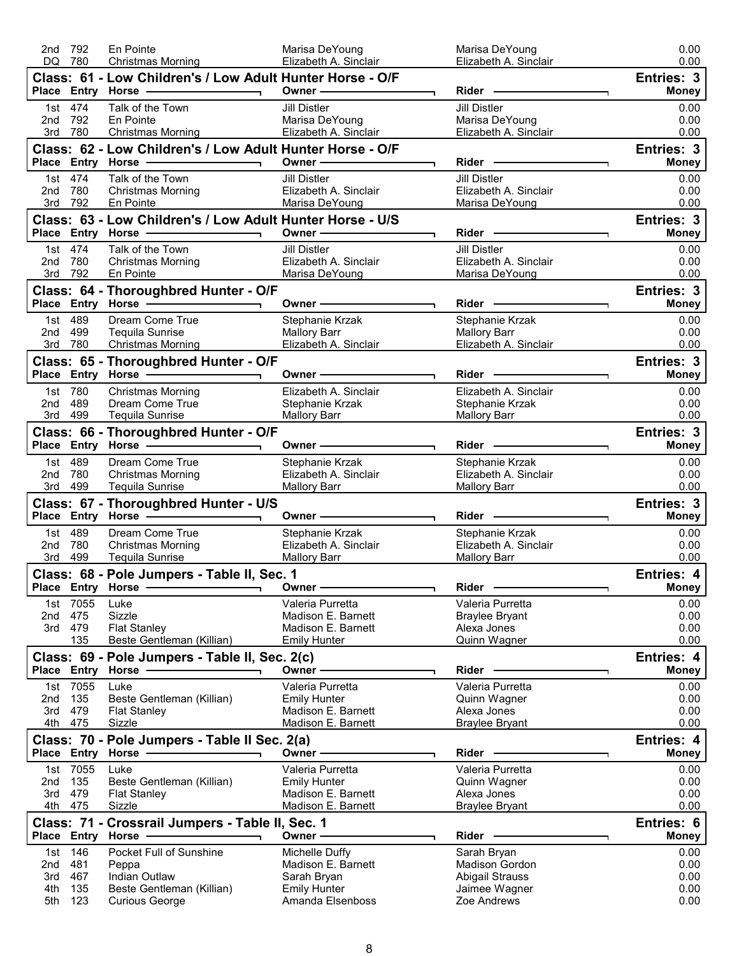| Class: 61 - Low Children's / Low Adult Hunter Horse - O/F<br>Entries: 3<br>Place Entry Horse - and the manufacturer of the manufacturer of the manufacturer of the manufacturer of the manufacturer of the manufacturer of the manufacturer of the manufacturer of the manufacturer of the manufacturer o<br>Owner $\longrightarrow$<br>Rider -<br><b>Money</b><br>Talk of the Town<br><b>Jill Distler</b><br><b>Jill Distler</b><br>1st 474<br>0.00<br>0.00<br>792<br>En Pointe<br>Marisa DeYoung<br>Marisa DeYoung<br>2nd<br>780<br>Elizabeth A. Sinclair<br>Elizabeth A. Sinclair<br>3rd<br><b>Christmas Morning</b><br>0.00<br>Class: 62 - Low Children's / Low Adult Hunter Horse - O/F<br><b>Entries: 3</b><br>Place Entry Horse - 2009<br>Owner <u>—</u> ————————<br><b>Money</b><br>H.<br>1st 474<br>Talk of the Town<br><b>Jill Distler</b><br><b>Jill Distler</b><br>0.00<br>Elizabeth A. Sinclair<br>Elizabeth A. Sinclair<br>780<br>0.00<br>2nd<br><b>Christmas Morning</b><br>792<br>Marisa DeYoung<br>Marisa DeYoung<br>0.00<br>3rd<br>En Pointe<br>Class: 63 - Low Children's / Low Adult Hunter Horse - U/S<br>Entries: 3<br>Place Entry Horse - All Allen Control Place Entry Horse<br>Owner $\overline{\qquad \qquad }$<br>Rider <b>Contract Contract Contract Contract Contract Contract Contract Contract Contract Contract Contract Contract Contract Contract Contract Contract Contract Contract Contract Contract Contract Contract Contract Contract</b><br><b>Money</b><br>T.<br>1st 474<br>Talk of the Town<br><b>Jill Distler</b><br><b>Jill Distler</b><br>0.00<br>780<br><b>Christmas Morning</b><br>Elizabeth A. Sinclair<br>Elizabeth A. Sinclair<br>0.00<br>2nd<br>792<br>0.00<br>3rd<br>En Pointe<br>Marisa DeYoung<br>Marisa DeYoung<br>Entries: 3<br>Class: 64 - Thoroughbred Hunter - O/F<br>Owner —————<br>Rider ————<br><b>Money</b><br>Dream Come True<br>1st 489<br>Stephanie Krzak<br>Stephanie Krzak<br>0.00<br>2nd 499<br><b>Tequila Sunrise</b><br><b>Mallory Barr</b><br><b>Mallory Barr</b><br>0.00<br>3rd 780<br><b>Christmas Morning</b><br>Elizabeth A. Sinclair<br>Elizabeth A. Sinclair<br>0.00<br>Class: 65 - Thoroughbred Hunter - O/F<br>Entries: 3<br>Place Entry Horse ——————————<br>Rider -<br><b>Money</b><br>Owner $-$<br>1st 780<br><b>Christmas Morning</b><br>Elizabeth A. Sinclair<br>Elizabeth A. Sinclair<br>0.00<br>489<br>2nd<br>Dream Come True<br>0.00<br>Stephanie Krzak<br>Stephanie Krzak<br>3rd 499<br>Tequila Sunrise<br><b>Mallory Barr</b><br><b>Mallory Barr</b><br>0.00<br>Class: 66 - Thoroughbred Hunter - O/F<br>Entries: 3<br>Place Entry Horse - and the control of the state of the state of the state of the state of the state of the state of the state of the state of the state of the state of the state of the state of the state of the state of t<br>Owner - The Communication<br><b>Money</b><br>1st 489<br>Dream Come True<br>Stephanie Krzak<br>Stephanie Krzak<br>0.00<br>780<br>Elizabeth A. Sinclair<br>Elizabeth A. Sinclair<br>0.00<br>2nd<br><b>Christmas Morning</b><br>499<br>3rd<br><b>Tequila Sunrise</b><br><b>Mallory Barr</b><br><b>Mallory Barr</b><br>0.00<br>Entries: 3<br>Class: 67 - Thoroughbred Hunter - U/S<br>Owner —<br><b>Money</b><br>1st 489<br>Dream Come True<br>Stephanie Krzak<br>Stephanie Krzak<br>0.00<br>780<br>Elizabeth A. Sinclair<br>Elizabeth A. Sinclair<br>2nd<br><b>Christmas Morning</b><br>0.00<br>499<br>0.00<br>3rd<br>Tequila Sunrise<br><b>Mallory Barr</b><br><b>Mallory Barr</b><br>Class: 68 - Pole Jumpers - Table II, Sec. 1<br>Entries: 4<br><b>Rider</b><br>Place Entry<br><b>Money</b><br>Horse -<br>Owner<br>1st 7055<br>0.00<br>Luke<br>Valeria Purretta<br>Valeria Purretta<br>475<br>Sizzle<br>Madison E. Barnett<br><b>Braylee Bryant</b><br>0.00<br>2nd<br>3rd 479<br>Madison E. Barnett<br>Alexa Jones<br><b>Flat Stanley</b><br>0.00<br>135<br>Beste Gentleman (Killian)<br><b>Emily Hunter</b><br>Quinn Wagner<br>0.00<br>Class: 69 - Pole Jumpers - Table II, Sec. 2(c)<br>Entries: 4<br>Owner - The Common Common Common Common Common Common Common Common Common Common Common Common Common Common Common Common Common Common Common Common Common Common Common Common Common Common Common Common Common Common<br>Place Entry Horse - The Management of the Management of the Management of the Management of the Management of<br>Rider<br><b>Money</b><br>1st 7055<br>Valeria Purretta<br>Luke<br>Valeria Purretta<br>0.00<br>135<br>0.00<br>Beste Gentleman (Killian)<br><b>Emily Hunter</b><br>Quinn Wagner<br>2nd<br>479<br>Madison E. Barnett<br>Alexa Jones<br>3rd<br><b>Flat Stanley</b><br>0.00<br>4th 475<br>Madison E. Barnett<br>Sizzle<br><b>Braylee Bryant</b><br>0.00<br>Entries: 4<br>Class: 70 - Pole Jumpers - Table II Sec. 2(a)<br>Place Entry Horse -<br>Owner -<br>Rider -<br><b>Money</b><br>1st 7055<br>Valeria Purretta<br>Valeria Purretta<br>Luke<br>0.00<br>135<br>0.00<br>2nd<br>Beste Gentleman (Killian)<br><b>Emily Hunter</b><br>Quinn Wagner<br>479<br>Madison E. Barnett<br>Alexa Jones<br>0.00<br>3rd<br><b>Flat Stanley</b><br>475<br>Madison E. Barnett<br>4th<br><b>Braylee Bryant</b><br>0.00<br>Sizzle<br>Class: 71 - Crossrail Jumpers - Table II, Sec. 1<br>Entries: 6<br>Place Entry Horse<br>Owner-<br>Rider<br><b>Money</b><br>146<br>Pocket Full of Sunshine<br>Michelle Duffy<br>0.00<br>Sarah Bryan<br>1st<br>- 481<br>Peppa<br>Madison E. Barnett<br><b>Madison Gordon</b><br>0.00<br>2nd<br>467<br>Indian Outlaw<br><b>Abigail Strauss</b><br>0.00<br>3rd<br>Sarah Bryan<br>4th<br>135<br>Beste Gentleman (Killian)<br><b>Emily Hunter</b><br>Jaimee Wagner<br>0.00<br>0.00<br>5th 123<br><b>Curious George</b><br>Amanda Elsenboss<br>Zoe Andrews | 792<br>DQ 780 | En Pointe<br><b>Christmas Morning</b> | Marisa DeYoung<br>Elizabeth A. Sinclair | Marisa DeYoung<br>Elizabeth A. Sinclair | 0.00<br>0.00 |
|----------------------------------------------------------------------------------------------------------------------------------------------------------------------------------------------------------------------------------------------------------------------------------------------------------------------------------------------------------------------------------------------------------------------------------------------------------------------------------------------------------------------------------------------------------------------------------------------------------------------------------------------------------------------------------------------------------------------------------------------------------------------------------------------------------------------------------------------------------------------------------------------------------------------------------------------------------------------------------------------------------------------------------------------------------------------------------------------------------------------------------------------------------------------------------------------------------------------------------------------------------------------------------------------------------------------------------------------------------------------------------------------------------------------------------------------------------------------------------------------------------------------------------------------------------------------------------------------------------------------------------------------------------------------------------------------------------------------------------------------------------------------------------------------------------------------------------------------------------------------------------------------------------------------------------------------------------------------------------------------------------------------------------------------------------------------------------------------------------------------------------------------------------------------------------------------------------------------------------------------------------------------------------------------------------------------------------------------------------------------------------------------------------------------------------------------------------------------------------------------------------------------------------------------------------------------------------------------------------------------------------------------------------------------------------------------------------------------------------------------------------------------------------------------------------------------------------------------------------------------------------------------------------------------------------------------------------------------------------------------------------------------------------------------------------------------------------------------------------------------------------------------------------------------------------------------------------------------------------------------------------------------------------------------------------------------------------------------------------------------------------------------------------------------------------------------------------------------------------------------------------------------------------------------------------------------------------------------------------------------------------------------------------------------------------------------------------------------------------------------------------------------------------------------------------------------------------------------------------------------------------------------------------------------------------------------------------------------------------------------------------------------------------------------------------------------------------------------------------------------------------------------------------------------------------------------------------------------------------------------------------------------------------------------------------------------------------------------------------------------------------------------------------------------------------------------------------------------------------------------------------------------------------------------------------------------------------------------------------------------------------------------------------------------------------------------------------------------------------------------------------------------------------------------------------------------------------------------------------------------------------------------------------------------------------------------------------------------------------------------------------------------------------------------------------------------------------------------------------------------------------------------------------------------------------------------------------------------------------------------------------------------------------------------------------------------------------------------------------------------------------------------------------------------------------------------------------------------------------------------------------------------------------------------------------------------------------------------------------------------------------------------------------------------------------------------------------------------------------------------------------------------------------|---------------|---------------------------------------|-----------------------------------------|-----------------------------------------|--------------|
|                                                                                                                                                                                                                                                                                                                                                                                                                                                                                                                                                                                                                                                                                                                                                                                                                                                                                                                                                                                                                                                                                                                                                                                                                                                                                                                                                                                                                                                                                                                                                                                                                                                                                                                                                                                                                                                                                                                                                                                                                                                                                                                                                                                                                                                                                                                                                                                                                                                                                                                                                                                                                                                                                                                                                                                                                                                                                                                                                                                                                                                                                                                                                                                                                                                                                                                                                                                                                                                                                                                                                                                                                                                                                                                                                                                                                                                                                                                                                                                                                                                                                                                                                                                                                                                                                                                                                                                                                                                                                                                                                                                                                                                                                                                                                                                                                                                                                                                                                                                                                                                                                                                                                                                                                                                                                                                                                                                                                                                                                                                                                                                                                                                                                                                                                                                  |               |                                       |                                         |                                         |              |
|                                                                                                                                                                                                                                                                                                                                                                                                                                                                                                                                                                                                                                                                                                                                                                                                                                                                                                                                                                                                                                                                                                                                                                                                                                                                                                                                                                                                                                                                                                                                                                                                                                                                                                                                                                                                                                                                                                                                                                                                                                                                                                                                                                                                                                                                                                                                                                                                                                                                                                                                                                                                                                                                                                                                                                                                                                                                                                                                                                                                                                                                                                                                                                                                                                                                                                                                                                                                                                                                                                                                                                                                                                                                                                                                                                                                                                                                                                                                                                                                                                                                                                                                                                                                                                                                                                                                                                                                                                                                                                                                                                                                                                                                                                                                                                                                                                                                                                                                                                                                                                                                                                                                                                                                                                                                                                                                                                                                                                                                                                                                                                                                                                                                                                                                                                                  |               |                                       |                                         |                                         |              |
|                                                                                                                                                                                                                                                                                                                                                                                                                                                                                                                                                                                                                                                                                                                                                                                                                                                                                                                                                                                                                                                                                                                                                                                                                                                                                                                                                                                                                                                                                                                                                                                                                                                                                                                                                                                                                                                                                                                                                                                                                                                                                                                                                                                                                                                                                                                                                                                                                                                                                                                                                                                                                                                                                                                                                                                                                                                                                                                                                                                                                                                                                                                                                                                                                                                                                                                                                                                                                                                                                                                                                                                                                                                                                                                                                                                                                                                                                                                                                                                                                                                                                                                                                                                                                                                                                                                                                                                                                                                                                                                                                                                                                                                                                                                                                                                                                                                                                                                                                                                                                                                                                                                                                                                                                                                                                                                                                                                                                                                                                                                                                                                                                                                                                                                                                                                  |               |                                       |                                         |                                         |              |
|                                                                                                                                                                                                                                                                                                                                                                                                                                                                                                                                                                                                                                                                                                                                                                                                                                                                                                                                                                                                                                                                                                                                                                                                                                                                                                                                                                                                                                                                                                                                                                                                                                                                                                                                                                                                                                                                                                                                                                                                                                                                                                                                                                                                                                                                                                                                                                                                                                                                                                                                                                                                                                                                                                                                                                                                                                                                                                                                                                                                                                                                                                                                                                                                                                                                                                                                                                                                                                                                                                                                                                                                                                                                                                                                                                                                                                                                                                                                                                                                                                                                                                                                                                                                                                                                                                                                                                                                                                                                                                                                                                                                                                                                                                                                                                                                                                                                                                                                                                                                                                                                                                                                                                                                                                                                                                                                                                                                                                                                                                                                                                                                                                                                                                                                                                                  |               |                                       |                                         |                                         |              |
|                                                                                                                                                                                                                                                                                                                                                                                                                                                                                                                                                                                                                                                                                                                                                                                                                                                                                                                                                                                                                                                                                                                                                                                                                                                                                                                                                                                                                                                                                                                                                                                                                                                                                                                                                                                                                                                                                                                                                                                                                                                                                                                                                                                                                                                                                                                                                                                                                                                                                                                                                                                                                                                                                                                                                                                                                                                                                                                                                                                                                                                                                                                                                                                                                                                                                                                                                                                                                                                                                                                                                                                                                                                                                                                                                                                                                                                                                                                                                                                                                                                                                                                                                                                                                                                                                                                                                                                                                                                                                                                                                                                                                                                                                                                                                                                                                                                                                                                                                                                                                                                                                                                                                                                                                                                                                                                                                                                                                                                                                                                                                                                                                                                                                                                                                                                  |               |                                       |                                         |                                         |              |
|                                                                                                                                                                                                                                                                                                                                                                                                                                                                                                                                                                                                                                                                                                                                                                                                                                                                                                                                                                                                                                                                                                                                                                                                                                                                                                                                                                                                                                                                                                                                                                                                                                                                                                                                                                                                                                                                                                                                                                                                                                                                                                                                                                                                                                                                                                                                                                                                                                                                                                                                                                                                                                                                                                                                                                                                                                                                                                                                                                                                                                                                                                                                                                                                                                                                                                                                                                                                                                                                                                                                                                                                                                                                                                                                                                                                                                                                                                                                                                                                                                                                                                                                                                                                                                                                                                                                                                                                                                                                                                                                                                                                                                                                                                                                                                                                                                                                                                                                                                                                                                                                                                                                                                                                                                                                                                                                                                                                                                                                                                                                                                                                                                                                                                                                                                                  |               |                                       |                                         |                                         |              |
|                                                                                                                                                                                                                                                                                                                                                                                                                                                                                                                                                                                                                                                                                                                                                                                                                                                                                                                                                                                                                                                                                                                                                                                                                                                                                                                                                                                                                                                                                                                                                                                                                                                                                                                                                                                                                                                                                                                                                                                                                                                                                                                                                                                                                                                                                                                                                                                                                                                                                                                                                                                                                                                                                                                                                                                                                                                                                                                                                                                                                                                                                                                                                                                                                                                                                                                                                                                                                                                                                                                                                                                                                                                                                                                                                                                                                                                                                                                                                                                                                                                                                                                                                                                                                                                                                                                                                                                                                                                                                                                                                                                                                                                                                                                                                                                                                                                                                                                                                                                                                                                                                                                                                                                                                                                                                                                                                                                                                                                                                                                                                                                                                                                                                                                                                                                  |               |                                       |                                         |                                         |              |
|                                                                                                                                                                                                                                                                                                                                                                                                                                                                                                                                                                                                                                                                                                                                                                                                                                                                                                                                                                                                                                                                                                                                                                                                                                                                                                                                                                                                                                                                                                                                                                                                                                                                                                                                                                                                                                                                                                                                                                                                                                                                                                                                                                                                                                                                                                                                                                                                                                                                                                                                                                                                                                                                                                                                                                                                                                                                                                                                                                                                                                                                                                                                                                                                                                                                                                                                                                                                                                                                                                                                                                                                                                                                                                                                                                                                                                                                                                                                                                                                                                                                                                                                                                                                                                                                                                                                                                                                                                                                                                                                                                                                                                                                                                                                                                                                                                                                                                                                                                                                                                                                                                                                                                                                                                                                                                                                                                                                                                                                                                                                                                                                                                                                                                                                                                                  |               |                                       |                                         |                                         |              |
|                                                                                                                                                                                                                                                                                                                                                                                                                                                                                                                                                                                                                                                                                                                                                                                                                                                                                                                                                                                                                                                                                                                                                                                                                                                                                                                                                                                                                                                                                                                                                                                                                                                                                                                                                                                                                                                                                                                                                                                                                                                                                                                                                                                                                                                                                                                                                                                                                                                                                                                                                                                                                                                                                                                                                                                                                                                                                                                                                                                                                                                                                                                                                                                                                                                                                                                                                                                                                                                                                                                                                                                                                                                                                                                                                                                                                                                                                                                                                                                                                                                                                                                                                                                                                                                                                                                                                                                                                                                                                                                                                                                                                                                                                                                                                                                                                                                                                                                                                                                                                                                                                                                                                                                                                                                                                                                                                                                                                                                                                                                                                                                                                                                                                                                                                                                  |               |                                       |                                         |                                         |              |
|                                                                                                                                                                                                                                                                                                                                                                                                                                                                                                                                                                                                                                                                                                                                                                                                                                                                                                                                                                                                                                                                                                                                                                                                                                                                                                                                                                                                                                                                                                                                                                                                                                                                                                                                                                                                                                                                                                                                                                                                                                                                                                                                                                                                                                                                                                                                                                                                                                                                                                                                                                                                                                                                                                                                                                                                                                                                                                                                                                                                                                                                                                                                                                                                                                                                                                                                                                                                                                                                                                                                                                                                                                                                                                                                                                                                                                                                                                                                                                                                                                                                                                                                                                                                                                                                                                                                                                                                                                                                                                                                                                                                                                                                                                                                                                                                                                                                                                                                                                                                                                                                                                                                                                                                                                                                                                                                                                                                                                                                                                                                                                                                                                                                                                                                                                                  |               |                                       |                                         |                                         |              |
|                                                                                                                                                                                                                                                                                                                                                                                                                                                                                                                                                                                                                                                                                                                                                                                                                                                                                                                                                                                                                                                                                                                                                                                                                                                                                                                                                                                                                                                                                                                                                                                                                                                                                                                                                                                                                                                                                                                                                                                                                                                                                                                                                                                                                                                                                                                                                                                                                                                                                                                                                                                                                                                                                                                                                                                                                                                                                                                                                                                                                                                                                                                                                                                                                                                                                                                                                                                                                                                                                                                                                                                                                                                                                                                                                                                                                                                                                                                                                                                                                                                                                                                                                                                                                                                                                                                                                                                                                                                                                                                                                                                                                                                                                                                                                                                                                                                                                                                                                                                                                                                                                                                                                                                                                                                                                                                                                                                                                                                                                                                                                                                                                                                                                                                                                                                  |               |                                       |                                         |                                         |              |
|                                                                                                                                                                                                                                                                                                                                                                                                                                                                                                                                                                                                                                                                                                                                                                                                                                                                                                                                                                                                                                                                                                                                                                                                                                                                                                                                                                                                                                                                                                                                                                                                                                                                                                                                                                                                                                                                                                                                                                                                                                                                                                                                                                                                                                                                                                                                                                                                                                                                                                                                                                                                                                                                                                                                                                                                                                                                                                                                                                                                                                                                                                                                                                                                                                                                                                                                                                                                                                                                                                                                                                                                                                                                                                                                                                                                                                                                                                                                                                                                                                                                                                                                                                                                                                                                                                                                                                                                                                                                                                                                                                                                                                                                                                                                                                                                                                                                                                                                                                                                                                                                                                                                                                                                                                                                                                                                                                                                                                                                                                                                                                                                                                                                                                                                                                                  |               |                                       |                                         |                                         |              |
|                                                                                                                                                                                                                                                                                                                                                                                                                                                                                                                                                                                                                                                                                                                                                                                                                                                                                                                                                                                                                                                                                                                                                                                                                                                                                                                                                                                                                                                                                                                                                                                                                                                                                                                                                                                                                                                                                                                                                                                                                                                                                                                                                                                                                                                                                                                                                                                                                                                                                                                                                                                                                                                                                                                                                                                                                                                                                                                                                                                                                                                                                                                                                                                                                                                                                                                                                                                                                                                                                                                                                                                                                                                                                                                                                                                                                                                                                                                                                                                                                                                                                                                                                                                                                                                                                                                                                                                                                                                                                                                                                                                                                                                                                                                                                                                                                                                                                                                                                                                                                                                                                                                                                                                                                                                                                                                                                                                                                                                                                                                                                                                                                                                                                                                                                                                  |               |                                       |                                         |                                         |              |
|                                                                                                                                                                                                                                                                                                                                                                                                                                                                                                                                                                                                                                                                                                                                                                                                                                                                                                                                                                                                                                                                                                                                                                                                                                                                                                                                                                                                                                                                                                                                                                                                                                                                                                                                                                                                                                                                                                                                                                                                                                                                                                                                                                                                                                                                                                                                                                                                                                                                                                                                                                                                                                                                                                                                                                                                                                                                                                                                                                                                                                                                                                                                                                                                                                                                                                                                                                                                                                                                                                                                                                                                                                                                                                                                                                                                                                                                                                                                                                                                                                                                                                                                                                                                                                                                                                                                                                                                                                                                                                                                                                                                                                                                                                                                                                                                                                                                                                                                                                                                                                                                                                                                                                                                                                                                                                                                                                                                                                                                                                                                                                                                                                                                                                                                                                                  |               |                                       |                                         |                                         |              |
|                                                                                                                                                                                                                                                                                                                                                                                                                                                                                                                                                                                                                                                                                                                                                                                                                                                                                                                                                                                                                                                                                                                                                                                                                                                                                                                                                                                                                                                                                                                                                                                                                                                                                                                                                                                                                                                                                                                                                                                                                                                                                                                                                                                                                                                                                                                                                                                                                                                                                                                                                                                                                                                                                                                                                                                                                                                                                                                                                                                                                                                                                                                                                                                                                                                                                                                                                                                                                                                                                                                                                                                                                                                                                                                                                                                                                                                                                                                                                                                                                                                                                                                                                                                                                                                                                                                                                                                                                                                                                                                                                                                                                                                                                                                                                                                                                                                                                                                                                                                                                                                                                                                                                                                                                                                                                                                                                                                                                                                                                                                                                                                                                                                                                                                                                                                  |               |                                       |                                         |                                         |              |
|                                                                                                                                                                                                                                                                                                                                                                                                                                                                                                                                                                                                                                                                                                                                                                                                                                                                                                                                                                                                                                                                                                                                                                                                                                                                                                                                                                                                                                                                                                                                                                                                                                                                                                                                                                                                                                                                                                                                                                                                                                                                                                                                                                                                                                                                                                                                                                                                                                                                                                                                                                                                                                                                                                                                                                                                                                                                                                                                                                                                                                                                                                                                                                                                                                                                                                                                                                                                                                                                                                                                                                                                                                                                                                                                                                                                                                                                                                                                                                                                                                                                                                                                                                                                                                                                                                                                                                                                                                                                                                                                                                                                                                                                                                                                                                                                                                                                                                                                                                                                                                                                                                                                                                                                                                                                                                                                                                                                                                                                                                                                                                                                                                                                                                                                                                                  |               |                                       |                                         |                                         |              |
|                                                                                                                                                                                                                                                                                                                                                                                                                                                                                                                                                                                                                                                                                                                                                                                                                                                                                                                                                                                                                                                                                                                                                                                                                                                                                                                                                                                                                                                                                                                                                                                                                                                                                                                                                                                                                                                                                                                                                                                                                                                                                                                                                                                                                                                                                                                                                                                                                                                                                                                                                                                                                                                                                                                                                                                                                                                                                                                                                                                                                                                                                                                                                                                                                                                                                                                                                                                                                                                                                                                                                                                                                                                                                                                                                                                                                                                                                                                                                                                                                                                                                                                                                                                                                                                                                                                                                                                                                                                                                                                                                                                                                                                                                                                                                                                                                                                                                                                                                                                                                                                                                                                                                                                                                                                                                                                                                                                                                                                                                                                                                                                                                                                                                                                                                                                  |               |                                       |                                         |                                         |              |
|                                                                                                                                                                                                                                                                                                                                                                                                                                                                                                                                                                                                                                                                                                                                                                                                                                                                                                                                                                                                                                                                                                                                                                                                                                                                                                                                                                                                                                                                                                                                                                                                                                                                                                                                                                                                                                                                                                                                                                                                                                                                                                                                                                                                                                                                                                                                                                                                                                                                                                                                                                                                                                                                                                                                                                                                                                                                                                                                                                                                                                                                                                                                                                                                                                                                                                                                                                                                                                                                                                                                                                                                                                                                                                                                                                                                                                                                                                                                                                                                                                                                                                                                                                                                                                                                                                                                                                                                                                                                                                                                                                                                                                                                                                                                                                                                                                                                                                                                                                                                                                                                                                                                                                                                                                                                                                                                                                                                                                                                                                                                                                                                                                                                                                                                                                                  |               |                                       |                                         |                                         |              |
|                                                                                                                                                                                                                                                                                                                                                                                                                                                                                                                                                                                                                                                                                                                                                                                                                                                                                                                                                                                                                                                                                                                                                                                                                                                                                                                                                                                                                                                                                                                                                                                                                                                                                                                                                                                                                                                                                                                                                                                                                                                                                                                                                                                                                                                                                                                                                                                                                                                                                                                                                                                                                                                                                                                                                                                                                                                                                                                                                                                                                                                                                                                                                                                                                                                                                                                                                                                                                                                                                                                                                                                                                                                                                                                                                                                                                                                                                                                                                                                                                                                                                                                                                                                                                                                                                                                                                                                                                                                                                                                                                                                                                                                                                                                                                                                                                                                                                                                                                                                                                                                                                                                                                                                                                                                                                                                                                                                                                                                                                                                                                                                                                                                                                                                                                                                  |               |                                       |                                         |                                         |              |
|                                                                                                                                                                                                                                                                                                                                                                                                                                                                                                                                                                                                                                                                                                                                                                                                                                                                                                                                                                                                                                                                                                                                                                                                                                                                                                                                                                                                                                                                                                                                                                                                                                                                                                                                                                                                                                                                                                                                                                                                                                                                                                                                                                                                                                                                                                                                                                                                                                                                                                                                                                                                                                                                                                                                                                                                                                                                                                                                                                                                                                                                                                                                                                                                                                                                                                                                                                                                                                                                                                                                                                                                                                                                                                                                                                                                                                                                                                                                                                                                                                                                                                                                                                                                                                                                                                                                                                                                                                                                                                                                                                                                                                                                                                                                                                                                                                                                                                                                                                                                                                                                                                                                                                                                                                                                                                                                                                                                                                                                                                                                                                                                                                                                                                                                                                                  |               |                                       |                                         |                                         |              |
|                                                                                                                                                                                                                                                                                                                                                                                                                                                                                                                                                                                                                                                                                                                                                                                                                                                                                                                                                                                                                                                                                                                                                                                                                                                                                                                                                                                                                                                                                                                                                                                                                                                                                                                                                                                                                                                                                                                                                                                                                                                                                                                                                                                                                                                                                                                                                                                                                                                                                                                                                                                                                                                                                                                                                                                                                                                                                                                                                                                                                                                                                                                                                                                                                                                                                                                                                                                                                                                                                                                                                                                                                                                                                                                                                                                                                                                                                                                                                                                                                                                                                                                                                                                                                                                                                                                                                                                                                                                                                                                                                                                                                                                                                                                                                                                                                                                                                                                                                                                                                                                                                                                                                                                                                                                                                                                                                                                                                                                                                                                                                                                                                                                                                                                                                                                  |               |                                       |                                         |                                         |              |
|                                                                                                                                                                                                                                                                                                                                                                                                                                                                                                                                                                                                                                                                                                                                                                                                                                                                                                                                                                                                                                                                                                                                                                                                                                                                                                                                                                                                                                                                                                                                                                                                                                                                                                                                                                                                                                                                                                                                                                                                                                                                                                                                                                                                                                                                                                                                                                                                                                                                                                                                                                                                                                                                                                                                                                                                                                                                                                                                                                                                                                                                                                                                                                                                                                                                                                                                                                                                                                                                                                                                                                                                                                                                                                                                                                                                                                                                                                                                                                                                                                                                                                                                                                                                                                                                                                                                                                                                                                                                                                                                                                                                                                                                                                                                                                                                                                                                                                                                                                                                                                                                                                                                                                                                                                                                                                                                                                                                                                                                                                                                                                                                                                                                                                                                                                                  |               |                                       |                                         |                                         |              |
|                                                                                                                                                                                                                                                                                                                                                                                                                                                                                                                                                                                                                                                                                                                                                                                                                                                                                                                                                                                                                                                                                                                                                                                                                                                                                                                                                                                                                                                                                                                                                                                                                                                                                                                                                                                                                                                                                                                                                                                                                                                                                                                                                                                                                                                                                                                                                                                                                                                                                                                                                                                                                                                                                                                                                                                                                                                                                                                                                                                                                                                                                                                                                                                                                                                                                                                                                                                                                                                                                                                                                                                                                                                                                                                                                                                                                                                                                                                                                                                                                                                                                                                                                                                                                                                                                                                                                                                                                                                                                                                                                                                                                                                                                                                                                                                                                                                                                                                                                                                                                                                                                                                                                                                                                                                                                                                                                                                                                                                                                                                                                                                                                                                                                                                                                                                  |               |                                       |                                         |                                         |              |
|                                                                                                                                                                                                                                                                                                                                                                                                                                                                                                                                                                                                                                                                                                                                                                                                                                                                                                                                                                                                                                                                                                                                                                                                                                                                                                                                                                                                                                                                                                                                                                                                                                                                                                                                                                                                                                                                                                                                                                                                                                                                                                                                                                                                                                                                                                                                                                                                                                                                                                                                                                                                                                                                                                                                                                                                                                                                                                                                                                                                                                                                                                                                                                                                                                                                                                                                                                                                                                                                                                                                                                                                                                                                                                                                                                                                                                                                                                                                                                                                                                                                                                                                                                                                                                                                                                                                                                                                                                                                                                                                                                                                                                                                                                                                                                                                                                                                                                                                                                                                                                                                                                                                                                                                                                                                                                                                                                                                                                                                                                                                                                                                                                                                                                                                                                                  |               |                                       |                                         |                                         |              |
|                                                                                                                                                                                                                                                                                                                                                                                                                                                                                                                                                                                                                                                                                                                                                                                                                                                                                                                                                                                                                                                                                                                                                                                                                                                                                                                                                                                                                                                                                                                                                                                                                                                                                                                                                                                                                                                                                                                                                                                                                                                                                                                                                                                                                                                                                                                                                                                                                                                                                                                                                                                                                                                                                                                                                                                                                                                                                                                                                                                                                                                                                                                                                                                                                                                                                                                                                                                                                                                                                                                                                                                                                                                                                                                                                                                                                                                                                                                                                                                                                                                                                                                                                                                                                                                                                                                                                                                                                                                                                                                                                                                                                                                                                                                                                                                                                                                                                                                                                                                                                                                                                                                                                                                                                                                                                                                                                                                                                                                                                                                                                                                                                                                                                                                                                                                  |               |                                       |                                         |                                         |              |
|                                                                                                                                                                                                                                                                                                                                                                                                                                                                                                                                                                                                                                                                                                                                                                                                                                                                                                                                                                                                                                                                                                                                                                                                                                                                                                                                                                                                                                                                                                                                                                                                                                                                                                                                                                                                                                                                                                                                                                                                                                                                                                                                                                                                                                                                                                                                                                                                                                                                                                                                                                                                                                                                                                                                                                                                                                                                                                                                                                                                                                                                                                                                                                                                                                                                                                                                                                                                                                                                                                                                                                                                                                                                                                                                                                                                                                                                                                                                                                                                                                                                                                                                                                                                                                                                                                                                                                                                                                                                                                                                                                                                                                                                                                                                                                                                                                                                                                                                                                                                                                                                                                                                                                                                                                                                                                                                                                                                                                                                                                                                                                                                                                                                                                                                                                                  |               |                                       |                                         |                                         |              |
|                                                                                                                                                                                                                                                                                                                                                                                                                                                                                                                                                                                                                                                                                                                                                                                                                                                                                                                                                                                                                                                                                                                                                                                                                                                                                                                                                                                                                                                                                                                                                                                                                                                                                                                                                                                                                                                                                                                                                                                                                                                                                                                                                                                                                                                                                                                                                                                                                                                                                                                                                                                                                                                                                                                                                                                                                                                                                                                                                                                                                                                                                                                                                                                                                                                                                                                                                                                                                                                                                                                                                                                                                                                                                                                                                                                                                                                                                                                                                                                                                                                                                                                                                                                                                                                                                                                                                                                                                                                                                                                                                                                                                                                                                                                                                                                                                                                                                                                                                                                                                                                                                                                                                                                                                                                                                                                                                                                                                                                                                                                                                                                                                                                                                                                                                                                  |               |                                       |                                         |                                         |              |
|                                                                                                                                                                                                                                                                                                                                                                                                                                                                                                                                                                                                                                                                                                                                                                                                                                                                                                                                                                                                                                                                                                                                                                                                                                                                                                                                                                                                                                                                                                                                                                                                                                                                                                                                                                                                                                                                                                                                                                                                                                                                                                                                                                                                                                                                                                                                                                                                                                                                                                                                                                                                                                                                                                                                                                                                                                                                                                                                                                                                                                                                                                                                                                                                                                                                                                                                                                                                                                                                                                                                                                                                                                                                                                                                                                                                                                                                                                                                                                                                                                                                                                                                                                                                                                                                                                                                                                                                                                                                                                                                                                                                                                                                                                                                                                                                                                                                                                                                                                                                                                                                                                                                                                                                                                                                                                                                                                                                                                                                                                                                                                                                                                                                                                                                                                                  |               |                                       |                                         |                                         |              |
|                                                                                                                                                                                                                                                                                                                                                                                                                                                                                                                                                                                                                                                                                                                                                                                                                                                                                                                                                                                                                                                                                                                                                                                                                                                                                                                                                                                                                                                                                                                                                                                                                                                                                                                                                                                                                                                                                                                                                                                                                                                                                                                                                                                                                                                                                                                                                                                                                                                                                                                                                                                                                                                                                                                                                                                                                                                                                                                                                                                                                                                                                                                                                                                                                                                                                                                                                                                                                                                                                                                                                                                                                                                                                                                                                                                                                                                                                                                                                                                                                                                                                                                                                                                                                                                                                                                                                                                                                                                                                                                                                                                                                                                                                                                                                                                                                                                                                                                                                                                                                                                                                                                                                                                                                                                                                                                                                                                                                                                                                                                                                                                                                                                                                                                                                                                  |               |                                       |                                         |                                         |              |
|                                                                                                                                                                                                                                                                                                                                                                                                                                                                                                                                                                                                                                                                                                                                                                                                                                                                                                                                                                                                                                                                                                                                                                                                                                                                                                                                                                                                                                                                                                                                                                                                                                                                                                                                                                                                                                                                                                                                                                                                                                                                                                                                                                                                                                                                                                                                                                                                                                                                                                                                                                                                                                                                                                                                                                                                                                                                                                                                                                                                                                                                                                                                                                                                                                                                                                                                                                                                                                                                                                                                                                                                                                                                                                                                                                                                                                                                                                                                                                                                                                                                                                                                                                                                                                                                                                                                                                                                                                                                                                                                                                                                                                                                                                                                                                                                                                                                                                                                                                                                                                                                                                                                                                                                                                                                                                                                                                                                                                                                                                                                                                                                                                                                                                                                                                                  |               |                                       |                                         |                                         |              |
|                                                                                                                                                                                                                                                                                                                                                                                                                                                                                                                                                                                                                                                                                                                                                                                                                                                                                                                                                                                                                                                                                                                                                                                                                                                                                                                                                                                                                                                                                                                                                                                                                                                                                                                                                                                                                                                                                                                                                                                                                                                                                                                                                                                                                                                                                                                                                                                                                                                                                                                                                                                                                                                                                                                                                                                                                                                                                                                                                                                                                                                                                                                                                                                                                                                                                                                                                                                                                                                                                                                                                                                                                                                                                                                                                                                                                                                                                                                                                                                                                                                                                                                                                                                                                                                                                                                                                                                                                                                                                                                                                                                                                                                                                                                                                                                                                                                                                                                                                                                                                                                                                                                                                                                                                                                                                                                                                                                                                                                                                                                                                                                                                                                                                                                                                                                  |               |                                       |                                         |                                         |              |
|                                                                                                                                                                                                                                                                                                                                                                                                                                                                                                                                                                                                                                                                                                                                                                                                                                                                                                                                                                                                                                                                                                                                                                                                                                                                                                                                                                                                                                                                                                                                                                                                                                                                                                                                                                                                                                                                                                                                                                                                                                                                                                                                                                                                                                                                                                                                                                                                                                                                                                                                                                                                                                                                                                                                                                                                                                                                                                                                                                                                                                                                                                                                                                                                                                                                                                                                                                                                                                                                                                                                                                                                                                                                                                                                                                                                                                                                                                                                                                                                                                                                                                                                                                                                                                                                                                                                                                                                                                                                                                                                                                                                                                                                                                                                                                                                                                                                                                                                                                                                                                                                                                                                                                                                                                                                                                                                                                                                                                                                                                                                                                                                                                                                                                                                                                                  |               |                                       |                                         |                                         |              |
|                                                                                                                                                                                                                                                                                                                                                                                                                                                                                                                                                                                                                                                                                                                                                                                                                                                                                                                                                                                                                                                                                                                                                                                                                                                                                                                                                                                                                                                                                                                                                                                                                                                                                                                                                                                                                                                                                                                                                                                                                                                                                                                                                                                                                                                                                                                                                                                                                                                                                                                                                                                                                                                                                                                                                                                                                                                                                                                                                                                                                                                                                                                                                                                                                                                                                                                                                                                                                                                                                                                                                                                                                                                                                                                                                                                                                                                                                                                                                                                                                                                                                                                                                                                                                                                                                                                                                                                                                                                                                                                                                                                                                                                                                                                                                                                                                                                                                                                                                                                                                                                                                                                                                                                                                                                                                                                                                                                                                                                                                                                                                                                                                                                                                                                                                                                  |               |                                       |                                         |                                         |              |
|                                                                                                                                                                                                                                                                                                                                                                                                                                                                                                                                                                                                                                                                                                                                                                                                                                                                                                                                                                                                                                                                                                                                                                                                                                                                                                                                                                                                                                                                                                                                                                                                                                                                                                                                                                                                                                                                                                                                                                                                                                                                                                                                                                                                                                                                                                                                                                                                                                                                                                                                                                                                                                                                                                                                                                                                                                                                                                                                                                                                                                                                                                                                                                                                                                                                                                                                                                                                                                                                                                                                                                                                                                                                                                                                                                                                                                                                                                                                                                                                                                                                                                                                                                                                                                                                                                                                                                                                                                                                                                                                                                                                                                                                                                                                                                                                                                                                                                                                                                                                                                                                                                                                                                                                                                                                                                                                                                                                                                                                                                                                                                                                                                                                                                                                                                                  |               |                                       |                                         |                                         |              |
|                                                                                                                                                                                                                                                                                                                                                                                                                                                                                                                                                                                                                                                                                                                                                                                                                                                                                                                                                                                                                                                                                                                                                                                                                                                                                                                                                                                                                                                                                                                                                                                                                                                                                                                                                                                                                                                                                                                                                                                                                                                                                                                                                                                                                                                                                                                                                                                                                                                                                                                                                                                                                                                                                                                                                                                                                                                                                                                                                                                                                                                                                                                                                                                                                                                                                                                                                                                                                                                                                                                                                                                                                                                                                                                                                                                                                                                                                                                                                                                                                                                                                                                                                                                                                                                                                                                                                                                                                                                                                                                                                                                                                                                                                                                                                                                                                                                                                                                                                                                                                                                                                                                                                                                                                                                                                                                                                                                                                                                                                                                                                                                                                                                                                                                                                                                  |               |                                       |                                         |                                         |              |
|                                                                                                                                                                                                                                                                                                                                                                                                                                                                                                                                                                                                                                                                                                                                                                                                                                                                                                                                                                                                                                                                                                                                                                                                                                                                                                                                                                                                                                                                                                                                                                                                                                                                                                                                                                                                                                                                                                                                                                                                                                                                                                                                                                                                                                                                                                                                                                                                                                                                                                                                                                                                                                                                                                                                                                                                                                                                                                                                                                                                                                                                                                                                                                                                                                                                                                                                                                                                                                                                                                                                                                                                                                                                                                                                                                                                                                                                                                                                                                                                                                                                                                                                                                                                                                                                                                                                                                                                                                                                                                                                                                                                                                                                                                                                                                                                                                                                                                                                                                                                                                                                                                                                                                                                                                                                                                                                                                                                                                                                                                                                                                                                                                                                                                                                                                                  |               |                                       |                                         |                                         |              |
|                                                                                                                                                                                                                                                                                                                                                                                                                                                                                                                                                                                                                                                                                                                                                                                                                                                                                                                                                                                                                                                                                                                                                                                                                                                                                                                                                                                                                                                                                                                                                                                                                                                                                                                                                                                                                                                                                                                                                                                                                                                                                                                                                                                                                                                                                                                                                                                                                                                                                                                                                                                                                                                                                                                                                                                                                                                                                                                                                                                                                                                                                                                                                                                                                                                                                                                                                                                                                                                                                                                                                                                                                                                                                                                                                                                                                                                                                                                                                                                                                                                                                                                                                                                                                                                                                                                                                                                                                                                                                                                                                                                                                                                                                                                                                                                                                                                                                                                                                                                                                                                                                                                                                                                                                                                                                                                                                                                                                                                                                                                                                                                                                                                                                                                                                                                  |               |                                       |                                         |                                         |              |
|                                                                                                                                                                                                                                                                                                                                                                                                                                                                                                                                                                                                                                                                                                                                                                                                                                                                                                                                                                                                                                                                                                                                                                                                                                                                                                                                                                                                                                                                                                                                                                                                                                                                                                                                                                                                                                                                                                                                                                                                                                                                                                                                                                                                                                                                                                                                                                                                                                                                                                                                                                                                                                                                                                                                                                                                                                                                                                                                                                                                                                                                                                                                                                                                                                                                                                                                                                                                                                                                                                                                                                                                                                                                                                                                                                                                                                                                                                                                                                                                                                                                                                                                                                                                                                                                                                                                                                                                                                                                                                                                                                                                                                                                                                                                                                                                                                                                                                                                                                                                                                                                                                                                                                                                                                                                                                                                                                                                                                                                                                                                                                                                                                                                                                                                                                                  |               |                                       |                                         |                                         |              |
|                                                                                                                                                                                                                                                                                                                                                                                                                                                                                                                                                                                                                                                                                                                                                                                                                                                                                                                                                                                                                                                                                                                                                                                                                                                                                                                                                                                                                                                                                                                                                                                                                                                                                                                                                                                                                                                                                                                                                                                                                                                                                                                                                                                                                                                                                                                                                                                                                                                                                                                                                                                                                                                                                                                                                                                                                                                                                                                                                                                                                                                                                                                                                                                                                                                                                                                                                                                                                                                                                                                                                                                                                                                                                                                                                                                                                                                                                                                                                                                                                                                                                                                                                                                                                                                                                                                                                                                                                                                                                                                                                                                                                                                                                                                                                                                                                                                                                                                                                                                                                                                                                                                                                                                                                                                                                                                                                                                                                                                                                                                                                                                                                                                                                                                                                                                  |               |                                       |                                         |                                         |              |
|                                                                                                                                                                                                                                                                                                                                                                                                                                                                                                                                                                                                                                                                                                                                                                                                                                                                                                                                                                                                                                                                                                                                                                                                                                                                                                                                                                                                                                                                                                                                                                                                                                                                                                                                                                                                                                                                                                                                                                                                                                                                                                                                                                                                                                                                                                                                                                                                                                                                                                                                                                                                                                                                                                                                                                                                                                                                                                                                                                                                                                                                                                                                                                                                                                                                                                                                                                                                                                                                                                                                                                                                                                                                                                                                                                                                                                                                                                                                                                                                                                                                                                                                                                                                                                                                                                                                                                                                                                                                                                                                                                                                                                                                                                                                                                                                                                                                                                                                                                                                                                                                                                                                                                                                                                                                                                                                                                                                                                                                                                                                                                                                                                                                                                                                                                                  |               |                                       |                                         |                                         |              |
|                                                                                                                                                                                                                                                                                                                                                                                                                                                                                                                                                                                                                                                                                                                                                                                                                                                                                                                                                                                                                                                                                                                                                                                                                                                                                                                                                                                                                                                                                                                                                                                                                                                                                                                                                                                                                                                                                                                                                                                                                                                                                                                                                                                                                                                                                                                                                                                                                                                                                                                                                                                                                                                                                                                                                                                                                                                                                                                                                                                                                                                                                                                                                                                                                                                                                                                                                                                                                                                                                                                                                                                                                                                                                                                                                                                                                                                                                                                                                                                                                                                                                                                                                                                                                                                                                                                                                                                                                                                                                                                                                                                                                                                                                                                                                                                                                                                                                                                                                                                                                                                                                                                                                                                                                                                                                                                                                                                                                                                                                                                                                                                                                                                                                                                                                                                  |               |                                       |                                         |                                         |              |
|                                                                                                                                                                                                                                                                                                                                                                                                                                                                                                                                                                                                                                                                                                                                                                                                                                                                                                                                                                                                                                                                                                                                                                                                                                                                                                                                                                                                                                                                                                                                                                                                                                                                                                                                                                                                                                                                                                                                                                                                                                                                                                                                                                                                                                                                                                                                                                                                                                                                                                                                                                                                                                                                                                                                                                                                                                                                                                                                                                                                                                                                                                                                                                                                                                                                                                                                                                                                                                                                                                                                                                                                                                                                                                                                                                                                                                                                                                                                                                                                                                                                                                                                                                                                                                                                                                                                                                                                                                                                                                                                                                                                                                                                                                                                                                                                                                                                                                                                                                                                                                                                                                                                                                                                                                                                                                                                                                                                                                                                                                                                                                                                                                                                                                                                                                                  |               |                                       |                                         |                                         |              |
|                                                                                                                                                                                                                                                                                                                                                                                                                                                                                                                                                                                                                                                                                                                                                                                                                                                                                                                                                                                                                                                                                                                                                                                                                                                                                                                                                                                                                                                                                                                                                                                                                                                                                                                                                                                                                                                                                                                                                                                                                                                                                                                                                                                                                                                                                                                                                                                                                                                                                                                                                                                                                                                                                                                                                                                                                                                                                                                                                                                                                                                                                                                                                                                                                                                                                                                                                                                                                                                                                                                                                                                                                                                                                                                                                                                                                                                                                                                                                                                                                                                                                                                                                                                                                                                                                                                                                                                                                                                                                                                                                                                                                                                                                                                                                                                                                                                                                                                                                                                                                                                                                                                                                                                                                                                                                                                                                                                                                                                                                                                                                                                                                                                                                                                                                                                  |               |                                       |                                         |                                         |              |
|                                                                                                                                                                                                                                                                                                                                                                                                                                                                                                                                                                                                                                                                                                                                                                                                                                                                                                                                                                                                                                                                                                                                                                                                                                                                                                                                                                                                                                                                                                                                                                                                                                                                                                                                                                                                                                                                                                                                                                                                                                                                                                                                                                                                                                                                                                                                                                                                                                                                                                                                                                                                                                                                                                                                                                                                                                                                                                                                                                                                                                                                                                                                                                                                                                                                                                                                                                                                                                                                                                                                                                                                                                                                                                                                                                                                                                                                                                                                                                                                                                                                                                                                                                                                                                                                                                                                                                                                                                                                                                                                                                                                                                                                                                                                                                                                                                                                                                                                                                                                                                                                                                                                                                                                                                                                                                                                                                                                                                                                                                                                                                                                                                                                                                                                                                                  |               |                                       |                                         |                                         |              |
|                                                                                                                                                                                                                                                                                                                                                                                                                                                                                                                                                                                                                                                                                                                                                                                                                                                                                                                                                                                                                                                                                                                                                                                                                                                                                                                                                                                                                                                                                                                                                                                                                                                                                                                                                                                                                                                                                                                                                                                                                                                                                                                                                                                                                                                                                                                                                                                                                                                                                                                                                                                                                                                                                                                                                                                                                                                                                                                                                                                                                                                                                                                                                                                                                                                                                                                                                                                                                                                                                                                                                                                                                                                                                                                                                                                                                                                                                                                                                                                                                                                                                                                                                                                                                                                                                                                                                                                                                                                                                                                                                                                                                                                                                                                                                                                                                                                                                                                                                                                                                                                                                                                                                                                                                                                                                                                                                                                                                                                                                                                                                                                                                                                                                                                                                                                  |               |                                       |                                         |                                         |              |
|                                                                                                                                                                                                                                                                                                                                                                                                                                                                                                                                                                                                                                                                                                                                                                                                                                                                                                                                                                                                                                                                                                                                                                                                                                                                                                                                                                                                                                                                                                                                                                                                                                                                                                                                                                                                                                                                                                                                                                                                                                                                                                                                                                                                                                                                                                                                                                                                                                                                                                                                                                                                                                                                                                                                                                                                                                                                                                                                                                                                                                                                                                                                                                                                                                                                                                                                                                                                                                                                                                                                                                                                                                                                                                                                                                                                                                                                                                                                                                                                                                                                                                                                                                                                                                                                                                                                                                                                                                                                                                                                                                                                                                                                                                                                                                                                                                                                                                                                                                                                                                                                                                                                                                                                                                                                                                                                                                                                                                                                                                                                                                                                                                                                                                                                                                                  |               |                                       |                                         |                                         |              |
|                                                                                                                                                                                                                                                                                                                                                                                                                                                                                                                                                                                                                                                                                                                                                                                                                                                                                                                                                                                                                                                                                                                                                                                                                                                                                                                                                                                                                                                                                                                                                                                                                                                                                                                                                                                                                                                                                                                                                                                                                                                                                                                                                                                                                                                                                                                                                                                                                                                                                                                                                                                                                                                                                                                                                                                                                                                                                                                                                                                                                                                                                                                                                                                                                                                                                                                                                                                                                                                                                                                                                                                                                                                                                                                                                                                                                                                                                                                                                                                                                                                                                                                                                                                                                                                                                                                                                                                                                                                                                                                                                                                                                                                                                                                                                                                                                                                                                                                                                                                                                                                                                                                                                                                                                                                                                                                                                                                                                                                                                                                                                                                                                                                                                                                                                                                  |               |                                       |                                         |                                         |              |
|                                                                                                                                                                                                                                                                                                                                                                                                                                                                                                                                                                                                                                                                                                                                                                                                                                                                                                                                                                                                                                                                                                                                                                                                                                                                                                                                                                                                                                                                                                                                                                                                                                                                                                                                                                                                                                                                                                                                                                                                                                                                                                                                                                                                                                                                                                                                                                                                                                                                                                                                                                                                                                                                                                                                                                                                                                                                                                                                                                                                                                                                                                                                                                                                                                                                                                                                                                                                                                                                                                                                                                                                                                                                                                                                                                                                                                                                                                                                                                                                                                                                                                                                                                                                                                                                                                                                                                                                                                                                                                                                                                                                                                                                                                                                                                                                                                                                                                                                                                                                                                                                                                                                                                                                                                                                                                                                                                                                                                                                                                                                                                                                                                                                                                                                                                                  |               |                                       |                                         |                                         |              |
|                                                                                                                                                                                                                                                                                                                                                                                                                                                                                                                                                                                                                                                                                                                                                                                                                                                                                                                                                                                                                                                                                                                                                                                                                                                                                                                                                                                                                                                                                                                                                                                                                                                                                                                                                                                                                                                                                                                                                                                                                                                                                                                                                                                                                                                                                                                                                                                                                                                                                                                                                                                                                                                                                                                                                                                                                                                                                                                                                                                                                                                                                                                                                                                                                                                                                                                                                                                                                                                                                                                                                                                                                                                                                                                                                                                                                                                                                                                                                                                                                                                                                                                                                                                                                                                                                                                                                                                                                                                                                                                                                                                                                                                                                                                                                                                                                                                                                                                                                                                                                                                                                                                                                                                                                                                                                                                                                                                                                                                                                                                                                                                                                                                                                                                                                                                  |               |                                       |                                         |                                         |              |
|                                                                                                                                                                                                                                                                                                                                                                                                                                                                                                                                                                                                                                                                                                                                                                                                                                                                                                                                                                                                                                                                                                                                                                                                                                                                                                                                                                                                                                                                                                                                                                                                                                                                                                                                                                                                                                                                                                                                                                                                                                                                                                                                                                                                                                                                                                                                                                                                                                                                                                                                                                                                                                                                                                                                                                                                                                                                                                                                                                                                                                                                                                                                                                                                                                                                                                                                                                                                                                                                                                                                                                                                                                                                                                                                                                                                                                                                                                                                                                                                                                                                                                                                                                                                                                                                                                                                                                                                                                                                                                                                                                                                                                                                                                                                                                                                                                                                                                                                                                                                                                                                                                                                                                                                                                                                                                                                                                                                                                                                                                                                                                                                                                                                                                                                                                                  |               |                                       |                                         |                                         |              |
|                                                                                                                                                                                                                                                                                                                                                                                                                                                                                                                                                                                                                                                                                                                                                                                                                                                                                                                                                                                                                                                                                                                                                                                                                                                                                                                                                                                                                                                                                                                                                                                                                                                                                                                                                                                                                                                                                                                                                                                                                                                                                                                                                                                                                                                                                                                                                                                                                                                                                                                                                                                                                                                                                                                                                                                                                                                                                                                                                                                                                                                                                                                                                                                                                                                                                                                                                                                                                                                                                                                                                                                                                                                                                                                                                                                                                                                                                                                                                                                                                                                                                                                                                                                                                                                                                                                                                                                                                                                                                                                                                                                                                                                                                                                                                                                                                                                                                                                                                                                                                                                                                                                                                                                                                                                                                                                                                                                                                                                                                                                                                                                                                                                                                                                                                                                  |               |                                       |                                         |                                         |              |
|                                                                                                                                                                                                                                                                                                                                                                                                                                                                                                                                                                                                                                                                                                                                                                                                                                                                                                                                                                                                                                                                                                                                                                                                                                                                                                                                                                                                                                                                                                                                                                                                                                                                                                                                                                                                                                                                                                                                                                                                                                                                                                                                                                                                                                                                                                                                                                                                                                                                                                                                                                                                                                                                                                                                                                                                                                                                                                                                                                                                                                                                                                                                                                                                                                                                                                                                                                                                                                                                                                                                                                                                                                                                                                                                                                                                                                                                                                                                                                                                                                                                                                                                                                                                                                                                                                                                                                                                                                                                                                                                                                                                                                                                                                                                                                                                                                                                                                                                                                                                                                                                                                                                                                                                                                                                                                                                                                                                                                                                                                                                                                                                                                                                                                                                                                                  |               |                                       |                                         |                                         |              |
|                                                                                                                                                                                                                                                                                                                                                                                                                                                                                                                                                                                                                                                                                                                                                                                                                                                                                                                                                                                                                                                                                                                                                                                                                                                                                                                                                                                                                                                                                                                                                                                                                                                                                                                                                                                                                                                                                                                                                                                                                                                                                                                                                                                                                                                                                                                                                                                                                                                                                                                                                                                                                                                                                                                                                                                                                                                                                                                                                                                                                                                                                                                                                                                                                                                                                                                                                                                                                                                                                                                                                                                                                                                                                                                                                                                                                                                                                                                                                                                                                                                                                                                                                                                                                                                                                                                                                                                                                                                                                                                                                                                                                                                                                                                                                                                                                                                                                                                                                                                                                                                                                                                                                                                                                                                                                                                                                                                                                                                                                                                                                                                                                                                                                                                                                                                  |               |                                       |                                         |                                         |              |
|                                                                                                                                                                                                                                                                                                                                                                                                                                                                                                                                                                                                                                                                                                                                                                                                                                                                                                                                                                                                                                                                                                                                                                                                                                                                                                                                                                                                                                                                                                                                                                                                                                                                                                                                                                                                                                                                                                                                                                                                                                                                                                                                                                                                                                                                                                                                                                                                                                                                                                                                                                                                                                                                                                                                                                                                                                                                                                                                                                                                                                                                                                                                                                                                                                                                                                                                                                                                                                                                                                                                                                                                                                                                                                                                                                                                                                                                                                                                                                                                                                                                                                                                                                                                                                                                                                                                                                                                                                                                                                                                                                                                                                                                                                                                                                                                                                                                                                                                                                                                                                                                                                                                                                                                                                                                                                                                                                                                                                                                                                                                                                                                                                                                                                                                                                                  |               |                                       |                                         |                                         |              |
|                                                                                                                                                                                                                                                                                                                                                                                                                                                                                                                                                                                                                                                                                                                                                                                                                                                                                                                                                                                                                                                                                                                                                                                                                                                                                                                                                                                                                                                                                                                                                                                                                                                                                                                                                                                                                                                                                                                                                                                                                                                                                                                                                                                                                                                                                                                                                                                                                                                                                                                                                                                                                                                                                                                                                                                                                                                                                                                                                                                                                                                                                                                                                                                                                                                                                                                                                                                                                                                                                                                                                                                                                                                                                                                                                                                                                                                                                                                                                                                                                                                                                                                                                                                                                                                                                                                                                                                                                                                                                                                                                                                                                                                                                                                                                                                                                                                                                                                                                                                                                                                                                                                                                                                                                                                                                                                                                                                                                                                                                                                                                                                                                                                                                                                                                                                  |               |                                       |                                         |                                         |              |
|                                                                                                                                                                                                                                                                                                                                                                                                                                                                                                                                                                                                                                                                                                                                                                                                                                                                                                                                                                                                                                                                                                                                                                                                                                                                                                                                                                                                                                                                                                                                                                                                                                                                                                                                                                                                                                                                                                                                                                                                                                                                                                                                                                                                                                                                                                                                                                                                                                                                                                                                                                                                                                                                                                                                                                                                                                                                                                                                                                                                                                                                                                                                                                                                                                                                                                                                                                                                                                                                                                                                                                                                                                                                                                                                                                                                                                                                                                                                                                                                                                                                                                                                                                                                                                                                                                                                                                                                                                                                                                                                                                                                                                                                                                                                                                                                                                                                                                                                                                                                                                                                                                                                                                                                                                                                                                                                                                                                                                                                                                                                                                                                                                                                                                                                                                                  |               |                                       |                                         |                                         |              |
|                                                                                                                                                                                                                                                                                                                                                                                                                                                                                                                                                                                                                                                                                                                                                                                                                                                                                                                                                                                                                                                                                                                                                                                                                                                                                                                                                                                                                                                                                                                                                                                                                                                                                                                                                                                                                                                                                                                                                                                                                                                                                                                                                                                                                                                                                                                                                                                                                                                                                                                                                                                                                                                                                                                                                                                                                                                                                                                                                                                                                                                                                                                                                                                                                                                                                                                                                                                                                                                                                                                                                                                                                                                                                                                                                                                                                                                                                                                                                                                                                                                                                                                                                                                                                                                                                                                                                                                                                                                                                                                                                                                                                                                                                                                                                                                                                                                                                                                                                                                                                                                                                                                                                                                                                                                                                                                                                                                                                                                                                                                                                                                                                                                                                                                                                                                  |               |                                       |                                         |                                         |              |
|                                                                                                                                                                                                                                                                                                                                                                                                                                                                                                                                                                                                                                                                                                                                                                                                                                                                                                                                                                                                                                                                                                                                                                                                                                                                                                                                                                                                                                                                                                                                                                                                                                                                                                                                                                                                                                                                                                                                                                                                                                                                                                                                                                                                                                                                                                                                                                                                                                                                                                                                                                                                                                                                                                                                                                                                                                                                                                                                                                                                                                                                                                                                                                                                                                                                                                                                                                                                                                                                                                                                                                                                                                                                                                                                                                                                                                                                                                                                                                                                                                                                                                                                                                                                                                                                                                                                                                                                                                                                                                                                                                                                                                                                                                                                                                                                                                                                                                                                                                                                                                                                                                                                                                                                                                                                                                                                                                                                                                                                                                                                                                                                                                                                                                                                                                                  |               |                                       |                                         |                                         |              |
|                                                                                                                                                                                                                                                                                                                                                                                                                                                                                                                                                                                                                                                                                                                                                                                                                                                                                                                                                                                                                                                                                                                                                                                                                                                                                                                                                                                                                                                                                                                                                                                                                                                                                                                                                                                                                                                                                                                                                                                                                                                                                                                                                                                                                                                                                                                                                                                                                                                                                                                                                                                                                                                                                                                                                                                                                                                                                                                                                                                                                                                                                                                                                                                                                                                                                                                                                                                                                                                                                                                                                                                                                                                                                                                                                                                                                                                                                                                                                                                                                                                                                                                                                                                                                                                                                                                                                                                                                                                                                                                                                                                                                                                                                                                                                                                                                                                                                                                                                                                                                                                                                                                                                                                                                                                                                                                                                                                                                                                                                                                                                                                                                                                                                                                                                                                  |               |                                       |                                         |                                         |              |
|                                                                                                                                                                                                                                                                                                                                                                                                                                                                                                                                                                                                                                                                                                                                                                                                                                                                                                                                                                                                                                                                                                                                                                                                                                                                                                                                                                                                                                                                                                                                                                                                                                                                                                                                                                                                                                                                                                                                                                                                                                                                                                                                                                                                                                                                                                                                                                                                                                                                                                                                                                                                                                                                                                                                                                                                                                                                                                                                                                                                                                                                                                                                                                                                                                                                                                                                                                                                                                                                                                                                                                                                                                                                                                                                                                                                                                                                                                                                                                                                                                                                                                                                                                                                                                                                                                                                                                                                                                                                                                                                                                                                                                                                                                                                                                                                                                                                                                                                                                                                                                                                                                                                                                                                                                                                                                                                                                                                                                                                                                                                                                                                                                                                                                                                                                                  |               |                                       |                                         |                                         |              |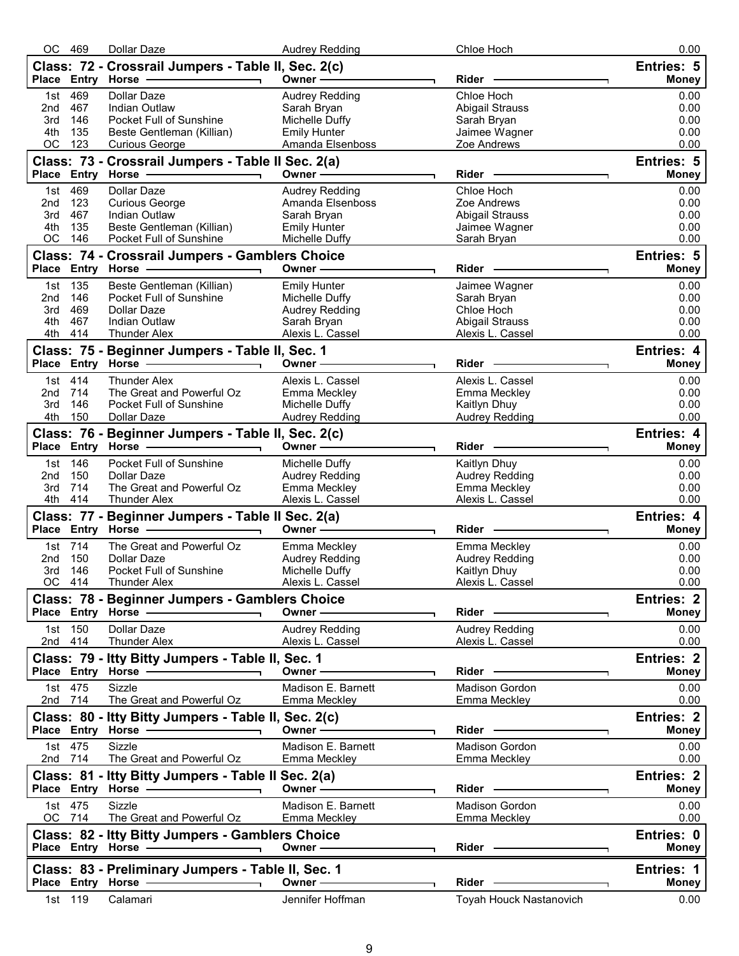| Entries: 5<br>Class: 72 - Crossrail Jumpers - Table II, Sec. 2(c)<br>Place Entry Horse<br>Owner -<br>Rider<br>469<br><b>Dollar Daze</b><br>Chloe Hoch<br><b>Audrey Redding</b><br>1st<br>0.00<br>467<br>Indian Outlaw<br>Sarah Bryan<br><b>Abigail Strauss</b><br>0.00<br>2nd<br>Pocket Full of Sunshine<br>Michelle Duffy<br>0.00<br>3rd<br>146<br>Sarah Bryan<br>135<br><b>Emily Hunter</b><br>Jaimee Wagner<br>0.00<br>4th<br>Beste Gentleman (Killian)<br>123<br>OC<br>Zoe Andrews<br>0.00<br><b>Curious George</b><br>Amanda Elsenboss<br><b>Entries: 5</b><br>Class: 73 - Crossrail Jumpers - Table II Sec. 2(a)<br>Place Entry Horse -<br>Owner-<br>Rider<br><b>Money</b><br>469<br>1st<br>Dollar Daze<br><b>Audrey Redding</b><br>Chloe Hoch<br>0.00<br>123<br>Zoe Andrews<br>0.00<br>2nd<br><b>Curious George</b><br>Amanda Elsenboss<br>467<br><b>Indian Outlaw</b><br>0.00<br>3rd<br>Sarah Bryan<br><b>Abigail Strauss</b><br>4th<br>135<br>Beste Gentleman (Killian)<br>0.00<br><b>Emily Hunter</b><br>Jaimee Wagner<br>146<br>Michelle Duffy<br>0.00<br>ОC<br>Pocket Full of Sunshine<br>Sarah Bryan<br><b>Entries: 5</b><br>Class: 74 - Crossrail Jumpers - Gamblers Choice<br>Place Entry Horse -<br>Owner-<br>Rider<br><b>Money</b><br>135<br>Beste Gentleman (Killian)<br><b>Emily Hunter</b><br>1st<br>Jaimee Wagner<br>0.00<br>146<br>Pocket Full of Sunshine<br>0.00<br>2nd<br>Michelle Duffy<br>Sarah Bryan<br>469<br><b>Dollar Daze</b><br><b>Audrey Redding</b><br>Chloe Hoch<br>0.00<br>3rd<br>4th<br>467<br>Indian Outlaw<br><b>Abigail Strauss</b><br>0.00<br>Sarah Bryan<br>4th<br>414<br>Alexis L. Cassel<br>0.00<br><b>Thunder Alex</b><br>Alexis L. Cassel<br><b>Entries: 4</b><br>Class: 75 - Beginner Jumpers - Table II, Sec. 1<br>Place Entry<br><b>Horse</b><br>Owner -<br>Rider<br><b>Money</b><br>1st 414<br><b>Thunder Alex</b><br>Alexis L. Cassel<br>Alexis L. Cassel<br>0.00<br>714<br>The Great and Powerful Oz<br>Emma Meckley<br>Emma Meckley<br>0.00<br>2nd<br>146<br>Pocket Full of Sunshine<br>Michelle Duffy<br>0.00<br>3rd<br>Kaitlyn Dhuy<br>150<br>4th<br>Dollar Daze<br>Audrey Redding<br><b>Audrey Redding</b><br>0.00<br>Class: 76 - Beginner Jumpers - Table II, Sec. 2(c)<br><b>Entries: 4</b><br>Place Entry Horse<br>Owner -<br>Rider<br>Money<br>146<br>Pocket Full of Sunshine<br>Michelle Duffy<br>Kaitlyn Dhuy<br>1st<br>0.00<br>150<br><b>Audrey Redding</b><br>0.00<br>2nd<br>Dollar Daze<br><b>Audrey Redding</b><br>714<br>The Great and Powerful Oz<br>Emma Meckley<br>0.00<br>3rd<br>Emma Meckley<br>4th 414<br>0.00<br><b>Thunder Alex</b><br>Alexis L. Cassel<br>Alexis L. Cassel<br>Entries: 4<br>Class: 77 - Beginner Jumpers - Table II Sec. 2(a)<br>Place Entry Horse<br>Owner-<br>Rider -<br><b>Money</b><br>1st 714<br>The Great and Powerful Oz<br>Emma Meckley<br>Emma Meckley<br>0.00<br>150<br>0.00<br>2nd<br>Dollar Daze<br>Audrey Redding<br>Audrey Redding<br>146<br>Pocket Full of Sunshine<br>Michelle Duffy<br>Kaitlyn Dhuy<br>0.00<br>3rd<br>OС<br>414<br>0.00<br>Alexis L. Cassel<br>Alexis L. Cassel<br><b>Thunder Alex</b><br>Class: 78 - Beginner Jumpers - Gamblers Choice<br>Entries: 2<br>Place Entry Horse<br>Owner -<br>Rider -<br><b>Money</b><br>Dollar Daze<br><b>Audrey Redding</b><br>150<br><b>Audrey Redding</b><br>0.00<br>1st<br>2nd 414<br><b>Thunder Alex</b><br>Alexis L. Cassel<br>Alexis L. Cassel<br>0.00<br>Class: 79 - Itty Bitty Jumpers - Table II, Sec. 1<br><b>Entries: 2</b><br>Place Entry Horse -<br>Owner -<br>Rider<br><b>Money</b><br>1st 475<br><b>Sizzle</b><br>Madison E. Barnett<br><b>Madison Gordon</b><br>0.00<br>2nd 714<br>0.00<br>The Great and Powerful Oz<br>Emma Meckley<br>Emma Meckley<br>Class: 80 - Itty Bitty Jumpers - Table II, Sec. 2(c)<br><b>Entries: 2</b><br>Place Entry Horse -<br>Owner -<br>Rider -<br><b>Money</b><br>1st 475<br>Sizzle<br>Madison E. Barnett<br><b>Madison Gordon</b><br>0.00<br>2nd 714<br>0.00<br>The Great and Powerful Oz<br>Emma Meckley<br>Emma Meckley<br><b>Entries: 2</b><br>Class: 81 - Itty Bitty Jumpers - Table II Sec. 2(a)<br>Place Entry Horse -<br>Owner ⋅<br>Rider<br><b>Money</b><br>1st 475<br>Sizzle<br>Madison E. Barnett<br><b>Madison Gordon</b><br>0.00<br>OC 714<br>The Great and Powerful Oz<br>0.00<br>Emma Meckley<br>Emma Meckley<br>Entries: 0<br>Class: 82 - Itty Bitty Jumpers - Gamblers Choice<br>Place Entry Horse -<br>Owner-<br>Rider -<br><b>Money</b><br>Class: 83 - Preliminary Jumpers - Table II, Sec. 1<br><b>Entries: 1</b><br>Place Entry Horse -<br>Owner -<br><b>Rider</b><br><b>Money</b><br>1st 119<br>Calamari<br>Jennifer Hoffman<br>Toyah Houck Nastanovich<br>0.00 | 469 | Dollar Daze | <b>Audrey Redding</b> | Chloe Hoch | 0.00         |
|---------------------------------------------------------------------------------------------------------------------------------------------------------------------------------------------------------------------------------------------------------------------------------------------------------------------------------------------------------------------------------------------------------------------------------------------------------------------------------------------------------------------------------------------------------------------------------------------------------------------------------------------------------------------------------------------------------------------------------------------------------------------------------------------------------------------------------------------------------------------------------------------------------------------------------------------------------------------------------------------------------------------------------------------------------------------------------------------------------------------------------------------------------------------------------------------------------------------------------------------------------------------------------------------------------------------------------------------------------------------------------------------------------------------------------------------------------------------------------------------------------------------------------------------------------------------------------------------------------------------------------------------------------------------------------------------------------------------------------------------------------------------------------------------------------------------------------------------------------------------------------------------------------------------------------------------------------------------------------------------------------------------------------------------------------------------------------------------------------------------------------------------------------------------------------------------------------------------------------------------------------------------------------------------------------------------------------------------------------------------------------------------------------------------------------------------------------------------------------------------------------------------------------------------------------------------------------------------------------------------------------------------------------------------------------------------------------------------------------------------------------------------------------------------------------------------------------------------------------------------------------------------------------------------------------------------------------------------------------------------------------------------------------------------------------------------------------------------------------------------------------------------------------------------------------------------------------------------------------------------------------------------------------------------------------------------------------------------------------------------------------------------------------------------------------------------------------------------------------------------------------------------------------------------------------------------------------------------------------------------------------------------------------------------------------------------------------------------------------------------------------------------------------------------------------------------------------------------------------------------------------------------------------------------------------------------------------------------------------------------------------------------------------------------------------------------------------------------------------------------------------------------------------------------------------------------------------------------------------------------------------------------------------------------------------------------------------------------------------------------------------------------------------------------------------------------------------------------------------------------------------------------------------------------------------------------------------------------------------------------------------------------------------------------------------------------------|-----|-------------|-----------------------|------------|--------------|
|                                                                                                                                                                                                                                                                                                                                                                                                                                                                                                                                                                                                                                                                                                                                                                                                                                                                                                                                                                                                                                                                                                                                                                                                                                                                                                                                                                                                                                                                                                                                                                                                                                                                                                                                                                                                                                                                                                                                                                                                                                                                                                                                                                                                                                                                                                                                                                                                                                                                                                                                                                                                                                                                                                                                                                                                                                                                                                                                                                                                                                                                                                                                                                                                                                                                                                                                                                                                                                                                                                                                                                                                                                                                                                                                                                                                                                                                                                                                                                                                                                                                                                                                                                                                                                                                                                                                                                                                                                                                                                                                                                                                                                                                                                   |     |             |                       |            |              |
|                                                                                                                                                                                                                                                                                                                                                                                                                                                                                                                                                                                                                                                                                                                                                                                                                                                                                                                                                                                                                                                                                                                                                                                                                                                                                                                                                                                                                                                                                                                                                                                                                                                                                                                                                                                                                                                                                                                                                                                                                                                                                                                                                                                                                                                                                                                                                                                                                                                                                                                                                                                                                                                                                                                                                                                                                                                                                                                                                                                                                                                                                                                                                                                                                                                                                                                                                                                                                                                                                                                                                                                                                                                                                                                                                                                                                                                                                                                                                                                                                                                                                                                                                                                                                                                                                                                                                                                                                                                                                                                                                                                                                                                                                                   |     |             |                       |            | <b>Money</b> |
|                                                                                                                                                                                                                                                                                                                                                                                                                                                                                                                                                                                                                                                                                                                                                                                                                                                                                                                                                                                                                                                                                                                                                                                                                                                                                                                                                                                                                                                                                                                                                                                                                                                                                                                                                                                                                                                                                                                                                                                                                                                                                                                                                                                                                                                                                                                                                                                                                                                                                                                                                                                                                                                                                                                                                                                                                                                                                                                                                                                                                                                                                                                                                                                                                                                                                                                                                                                                                                                                                                                                                                                                                                                                                                                                                                                                                                                                                                                                                                                                                                                                                                                                                                                                                                                                                                                                                                                                                                                                                                                                                                                                                                                                                                   |     |             |                       |            |              |
|                                                                                                                                                                                                                                                                                                                                                                                                                                                                                                                                                                                                                                                                                                                                                                                                                                                                                                                                                                                                                                                                                                                                                                                                                                                                                                                                                                                                                                                                                                                                                                                                                                                                                                                                                                                                                                                                                                                                                                                                                                                                                                                                                                                                                                                                                                                                                                                                                                                                                                                                                                                                                                                                                                                                                                                                                                                                                                                                                                                                                                                                                                                                                                                                                                                                                                                                                                                                                                                                                                                                                                                                                                                                                                                                                                                                                                                                                                                                                                                                                                                                                                                                                                                                                                                                                                                                                                                                                                                                                                                                                                                                                                                                                                   |     |             |                       |            |              |
|                                                                                                                                                                                                                                                                                                                                                                                                                                                                                                                                                                                                                                                                                                                                                                                                                                                                                                                                                                                                                                                                                                                                                                                                                                                                                                                                                                                                                                                                                                                                                                                                                                                                                                                                                                                                                                                                                                                                                                                                                                                                                                                                                                                                                                                                                                                                                                                                                                                                                                                                                                                                                                                                                                                                                                                                                                                                                                                                                                                                                                                                                                                                                                                                                                                                                                                                                                                                                                                                                                                                                                                                                                                                                                                                                                                                                                                                                                                                                                                                                                                                                                                                                                                                                                                                                                                                                                                                                                                                                                                                                                                                                                                                                                   |     |             |                       |            |              |
|                                                                                                                                                                                                                                                                                                                                                                                                                                                                                                                                                                                                                                                                                                                                                                                                                                                                                                                                                                                                                                                                                                                                                                                                                                                                                                                                                                                                                                                                                                                                                                                                                                                                                                                                                                                                                                                                                                                                                                                                                                                                                                                                                                                                                                                                                                                                                                                                                                                                                                                                                                                                                                                                                                                                                                                                                                                                                                                                                                                                                                                                                                                                                                                                                                                                                                                                                                                                                                                                                                                                                                                                                                                                                                                                                                                                                                                                                                                                                                                                                                                                                                                                                                                                                                                                                                                                                                                                                                                                                                                                                                                                                                                                                                   |     |             |                       |            |              |
|                                                                                                                                                                                                                                                                                                                                                                                                                                                                                                                                                                                                                                                                                                                                                                                                                                                                                                                                                                                                                                                                                                                                                                                                                                                                                                                                                                                                                                                                                                                                                                                                                                                                                                                                                                                                                                                                                                                                                                                                                                                                                                                                                                                                                                                                                                                                                                                                                                                                                                                                                                                                                                                                                                                                                                                                                                                                                                                                                                                                                                                                                                                                                                                                                                                                                                                                                                                                                                                                                                                                                                                                                                                                                                                                                                                                                                                                                                                                                                                                                                                                                                                                                                                                                                                                                                                                                                                                                                                                                                                                                                                                                                                                                                   |     |             |                       |            |              |
|                                                                                                                                                                                                                                                                                                                                                                                                                                                                                                                                                                                                                                                                                                                                                                                                                                                                                                                                                                                                                                                                                                                                                                                                                                                                                                                                                                                                                                                                                                                                                                                                                                                                                                                                                                                                                                                                                                                                                                                                                                                                                                                                                                                                                                                                                                                                                                                                                                                                                                                                                                                                                                                                                                                                                                                                                                                                                                                                                                                                                                                                                                                                                                                                                                                                                                                                                                                                                                                                                                                                                                                                                                                                                                                                                                                                                                                                                                                                                                                                                                                                                                                                                                                                                                                                                                                                                                                                                                                                                                                                                                                                                                                                                                   |     |             |                       |            |              |
|                                                                                                                                                                                                                                                                                                                                                                                                                                                                                                                                                                                                                                                                                                                                                                                                                                                                                                                                                                                                                                                                                                                                                                                                                                                                                                                                                                                                                                                                                                                                                                                                                                                                                                                                                                                                                                                                                                                                                                                                                                                                                                                                                                                                                                                                                                                                                                                                                                                                                                                                                                                                                                                                                                                                                                                                                                                                                                                                                                                                                                                                                                                                                                                                                                                                                                                                                                                                                                                                                                                                                                                                                                                                                                                                                                                                                                                                                                                                                                                                                                                                                                                                                                                                                                                                                                                                                                                                                                                                                                                                                                                                                                                                                                   |     |             |                       |            |              |
|                                                                                                                                                                                                                                                                                                                                                                                                                                                                                                                                                                                                                                                                                                                                                                                                                                                                                                                                                                                                                                                                                                                                                                                                                                                                                                                                                                                                                                                                                                                                                                                                                                                                                                                                                                                                                                                                                                                                                                                                                                                                                                                                                                                                                                                                                                                                                                                                                                                                                                                                                                                                                                                                                                                                                                                                                                                                                                                                                                                                                                                                                                                                                                                                                                                                                                                                                                                                                                                                                                                                                                                                                                                                                                                                                                                                                                                                                                                                                                                                                                                                                                                                                                                                                                                                                                                                                                                                                                                                                                                                                                                                                                                                                                   |     |             |                       |            |              |
|                                                                                                                                                                                                                                                                                                                                                                                                                                                                                                                                                                                                                                                                                                                                                                                                                                                                                                                                                                                                                                                                                                                                                                                                                                                                                                                                                                                                                                                                                                                                                                                                                                                                                                                                                                                                                                                                                                                                                                                                                                                                                                                                                                                                                                                                                                                                                                                                                                                                                                                                                                                                                                                                                                                                                                                                                                                                                                                                                                                                                                                                                                                                                                                                                                                                                                                                                                                                                                                                                                                                                                                                                                                                                                                                                                                                                                                                                                                                                                                                                                                                                                                                                                                                                                                                                                                                                                                                                                                                                                                                                                                                                                                                                                   |     |             |                       |            |              |
|                                                                                                                                                                                                                                                                                                                                                                                                                                                                                                                                                                                                                                                                                                                                                                                                                                                                                                                                                                                                                                                                                                                                                                                                                                                                                                                                                                                                                                                                                                                                                                                                                                                                                                                                                                                                                                                                                                                                                                                                                                                                                                                                                                                                                                                                                                                                                                                                                                                                                                                                                                                                                                                                                                                                                                                                                                                                                                                                                                                                                                                                                                                                                                                                                                                                                                                                                                                                                                                                                                                                                                                                                                                                                                                                                                                                                                                                                                                                                                                                                                                                                                                                                                                                                                                                                                                                                                                                                                                                                                                                                                                                                                                                                                   |     |             |                       |            |              |
|                                                                                                                                                                                                                                                                                                                                                                                                                                                                                                                                                                                                                                                                                                                                                                                                                                                                                                                                                                                                                                                                                                                                                                                                                                                                                                                                                                                                                                                                                                                                                                                                                                                                                                                                                                                                                                                                                                                                                                                                                                                                                                                                                                                                                                                                                                                                                                                                                                                                                                                                                                                                                                                                                                                                                                                                                                                                                                                                                                                                                                                                                                                                                                                                                                                                                                                                                                                                                                                                                                                                                                                                                                                                                                                                                                                                                                                                                                                                                                                                                                                                                                                                                                                                                                                                                                                                                                                                                                                                                                                                                                                                                                                                                                   |     |             |                       |            |              |
|                                                                                                                                                                                                                                                                                                                                                                                                                                                                                                                                                                                                                                                                                                                                                                                                                                                                                                                                                                                                                                                                                                                                                                                                                                                                                                                                                                                                                                                                                                                                                                                                                                                                                                                                                                                                                                                                                                                                                                                                                                                                                                                                                                                                                                                                                                                                                                                                                                                                                                                                                                                                                                                                                                                                                                                                                                                                                                                                                                                                                                                                                                                                                                                                                                                                                                                                                                                                                                                                                                                                                                                                                                                                                                                                                                                                                                                                                                                                                                                                                                                                                                                                                                                                                                                                                                                                                                                                                                                                                                                                                                                                                                                                                                   |     |             |                       |            |              |
|                                                                                                                                                                                                                                                                                                                                                                                                                                                                                                                                                                                                                                                                                                                                                                                                                                                                                                                                                                                                                                                                                                                                                                                                                                                                                                                                                                                                                                                                                                                                                                                                                                                                                                                                                                                                                                                                                                                                                                                                                                                                                                                                                                                                                                                                                                                                                                                                                                                                                                                                                                                                                                                                                                                                                                                                                                                                                                                                                                                                                                                                                                                                                                                                                                                                                                                                                                                                                                                                                                                                                                                                                                                                                                                                                                                                                                                                                                                                                                                                                                                                                                                                                                                                                                                                                                                                                                                                                                                                                                                                                                                                                                                                                                   |     |             |                       |            |              |
|                                                                                                                                                                                                                                                                                                                                                                                                                                                                                                                                                                                                                                                                                                                                                                                                                                                                                                                                                                                                                                                                                                                                                                                                                                                                                                                                                                                                                                                                                                                                                                                                                                                                                                                                                                                                                                                                                                                                                                                                                                                                                                                                                                                                                                                                                                                                                                                                                                                                                                                                                                                                                                                                                                                                                                                                                                                                                                                                                                                                                                                                                                                                                                                                                                                                                                                                                                                                                                                                                                                                                                                                                                                                                                                                                                                                                                                                                                                                                                                                                                                                                                                                                                                                                                                                                                                                                                                                                                                                                                                                                                                                                                                                                                   |     |             |                       |            |              |
|                                                                                                                                                                                                                                                                                                                                                                                                                                                                                                                                                                                                                                                                                                                                                                                                                                                                                                                                                                                                                                                                                                                                                                                                                                                                                                                                                                                                                                                                                                                                                                                                                                                                                                                                                                                                                                                                                                                                                                                                                                                                                                                                                                                                                                                                                                                                                                                                                                                                                                                                                                                                                                                                                                                                                                                                                                                                                                                                                                                                                                                                                                                                                                                                                                                                                                                                                                                                                                                                                                                                                                                                                                                                                                                                                                                                                                                                                                                                                                                                                                                                                                                                                                                                                                                                                                                                                                                                                                                                                                                                                                                                                                                                                                   |     |             |                       |            |              |
|                                                                                                                                                                                                                                                                                                                                                                                                                                                                                                                                                                                                                                                                                                                                                                                                                                                                                                                                                                                                                                                                                                                                                                                                                                                                                                                                                                                                                                                                                                                                                                                                                                                                                                                                                                                                                                                                                                                                                                                                                                                                                                                                                                                                                                                                                                                                                                                                                                                                                                                                                                                                                                                                                                                                                                                                                                                                                                                                                                                                                                                                                                                                                                                                                                                                                                                                                                                                                                                                                                                                                                                                                                                                                                                                                                                                                                                                                                                                                                                                                                                                                                                                                                                                                                                                                                                                                                                                                                                                                                                                                                                                                                                                                                   |     |             |                       |            |              |
|                                                                                                                                                                                                                                                                                                                                                                                                                                                                                                                                                                                                                                                                                                                                                                                                                                                                                                                                                                                                                                                                                                                                                                                                                                                                                                                                                                                                                                                                                                                                                                                                                                                                                                                                                                                                                                                                                                                                                                                                                                                                                                                                                                                                                                                                                                                                                                                                                                                                                                                                                                                                                                                                                                                                                                                                                                                                                                                                                                                                                                                                                                                                                                                                                                                                                                                                                                                                                                                                                                                                                                                                                                                                                                                                                                                                                                                                                                                                                                                                                                                                                                                                                                                                                                                                                                                                                                                                                                                                                                                                                                                                                                                                                                   |     |             |                       |            |              |
|                                                                                                                                                                                                                                                                                                                                                                                                                                                                                                                                                                                                                                                                                                                                                                                                                                                                                                                                                                                                                                                                                                                                                                                                                                                                                                                                                                                                                                                                                                                                                                                                                                                                                                                                                                                                                                                                                                                                                                                                                                                                                                                                                                                                                                                                                                                                                                                                                                                                                                                                                                                                                                                                                                                                                                                                                                                                                                                                                                                                                                                                                                                                                                                                                                                                                                                                                                                                                                                                                                                                                                                                                                                                                                                                                                                                                                                                                                                                                                                                                                                                                                                                                                                                                                                                                                                                                                                                                                                                                                                                                                                                                                                                                                   |     |             |                       |            |              |
|                                                                                                                                                                                                                                                                                                                                                                                                                                                                                                                                                                                                                                                                                                                                                                                                                                                                                                                                                                                                                                                                                                                                                                                                                                                                                                                                                                                                                                                                                                                                                                                                                                                                                                                                                                                                                                                                                                                                                                                                                                                                                                                                                                                                                                                                                                                                                                                                                                                                                                                                                                                                                                                                                                                                                                                                                                                                                                                                                                                                                                                                                                                                                                                                                                                                                                                                                                                                                                                                                                                                                                                                                                                                                                                                                                                                                                                                                                                                                                                                                                                                                                                                                                                                                                                                                                                                                                                                                                                                                                                                                                                                                                                                                                   |     |             |                       |            |              |
|                                                                                                                                                                                                                                                                                                                                                                                                                                                                                                                                                                                                                                                                                                                                                                                                                                                                                                                                                                                                                                                                                                                                                                                                                                                                                                                                                                                                                                                                                                                                                                                                                                                                                                                                                                                                                                                                                                                                                                                                                                                                                                                                                                                                                                                                                                                                                                                                                                                                                                                                                                                                                                                                                                                                                                                                                                                                                                                                                                                                                                                                                                                                                                                                                                                                                                                                                                                                                                                                                                                                                                                                                                                                                                                                                                                                                                                                                                                                                                                                                                                                                                                                                                                                                                                                                                                                                                                                                                                                                                                                                                                                                                                                                                   |     |             |                       |            |              |
|                                                                                                                                                                                                                                                                                                                                                                                                                                                                                                                                                                                                                                                                                                                                                                                                                                                                                                                                                                                                                                                                                                                                                                                                                                                                                                                                                                                                                                                                                                                                                                                                                                                                                                                                                                                                                                                                                                                                                                                                                                                                                                                                                                                                                                                                                                                                                                                                                                                                                                                                                                                                                                                                                                                                                                                                                                                                                                                                                                                                                                                                                                                                                                                                                                                                                                                                                                                                                                                                                                                                                                                                                                                                                                                                                                                                                                                                                                                                                                                                                                                                                                                                                                                                                                                                                                                                                                                                                                                                                                                                                                                                                                                                                                   |     |             |                       |            |              |
|                                                                                                                                                                                                                                                                                                                                                                                                                                                                                                                                                                                                                                                                                                                                                                                                                                                                                                                                                                                                                                                                                                                                                                                                                                                                                                                                                                                                                                                                                                                                                                                                                                                                                                                                                                                                                                                                                                                                                                                                                                                                                                                                                                                                                                                                                                                                                                                                                                                                                                                                                                                                                                                                                                                                                                                                                                                                                                                                                                                                                                                                                                                                                                                                                                                                                                                                                                                                                                                                                                                                                                                                                                                                                                                                                                                                                                                                                                                                                                                                                                                                                                                                                                                                                                                                                                                                                                                                                                                                                                                                                                                                                                                                                                   |     |             |                       |            |              |
|                                                                                                                                                                                                                                                                                                                                                                                                                                                                                                                                                                                                                                                                                                                                                                                                                                                                                                                                                                                                                                                                                                                                                                                                                                                                                                                                                                                                                                                                                                                                                                                                                                                                                                                                                                                                                                                                                                                                                                                                                                                                                                                                                                                                                                                                                                                                                                                                                                                                                                                                                                                                                                                                                                                                                                                                                                                                                                                                                                                                                                                                                                                                                                                                                                                                                                                                                                                                                                                                                                                                                                                                                                                                                                                                                                                                                                                                                                                                                                                                                                                                                                                                                                                                                                                                                                                                                                                                                                                                                                                                                                                                                                                                                                   |     |             |                       |            |              |
|                                                                                                                                                                                                                                                                                                                                                                                                                                                                                                                                                                                                                                                                                                                                                                                                                                                                                                                                                                                                                                                                                                                                                                                                                                                                                                                                                                                                                                                                                                                                                                                                                                                                                                                                                                                                                                                                                                                                                                                                                                                                                                                                                                                                                                                                                                                                                                                                                                                                                                                                                                                                                                                                                                                                                                                                                                                                                                                                                                                                                                                                                                                                                                                                                                                                                                                                                                                                                                                                                                                                                                                                                                                                                                                                                                                                                                                                                                                                                                                                                                                                                                                                                                                                                                                                                                                                                                                                                                                                                                                                                                                                                                                                                                   |     |             |                       |            |              |
|                                                                                                                                                                                                                                                                                                                                                                                                                                                                                                                                                                                                                                                                                                                                                                                                                                                                                                                                                                                                                                                                                                                                                                                                                                                                                                                                                                                                                                                                                                                                                                                                                                                                                                                                                                                                                                                                                                                                                                                                                                                                                                                                                                                                                                                                                                                                                                                                                                                                                                                                                                                                                                                                                                                                                                                                                                                                                                                                                                                                                                                                                                                                                                                                                                                                                                                                                                                                                                                                                                                                                                                                                                                                                                                                                                                                                                                                                                                                                                                                                                                                                                                                                                                                                                                                                                                                                                                                                                                                                                                                                                                                                                                                                                   |     |             |                       |            |              |
|                                                                                                                                                                                                                                                                                                                                                                                                                                                                                                                                                                                                                                                                                                                                                                                                                                                                                                                                                                                                                                                                                                                                                                                                                                                                                                                                                                                                                                                                                                                                                                                                                                                                                                                                                                                                                                                                                                                                                                                                                                                                                                                                                                                                                                                                                                                                                                                                                                                                                                                                                                                                                                                                                                                                                                                                                                                                                                                                                                                                                                                                                                                                                                                                                                                                                                                                                                                                                                                                                                                                                                                                                                                                                                                                                                                                                                                                                                                                                                                                                                                                                                                                                                                                                                                                                                                                                                                                                                                                                                                                                                                                                                                                                                   |     |             |                       |            |              |
|                                                                                                                                                                                                                                                                                                                                                                                                                                                                                                                                                                                                                                                                                                                                                                                                                                                                                                                                                                                                                                                                                                                                                                                                                                                                                                                                                                                                                                                                                                                                                                                                                                                                                                                                                                                                                                                                                                                                                                                                                                                                                                                                                                                                                                                                                                                                                                                                                                                                                                                                                                                                                                                                                                                                                                                                                                                                                                                                                                                                                                                                                                                                                                                                                                                                                                                                                                                                                                                                                                                                                                                                                                                                                                                                                                                                                                                                                                                                                                                                                                                                                                                                                                                                                                                                                                                                                                                                                                                                                                                                                                                                                                                                                                   |     |             |                       |            |              |
|                                                                                                                                                                                                                                                                                                                                                                                                                                                                                                                                                                                                                                                                                                                                                                                                                                                                                                                                                                                                                                                                                                                                                                                                                                                                                                                                                                                                                                                                                                                                                                                                                                                                                                                                                                                                                                                                                                                                                                                                                                                                                                                                                                                                                                                                                                                                                                                                                                                                                                                                                                                                                                                                                                                                                                                                                                                                                                                                                                                                                                                                                                                                                                                                                                                                                                                                                                                                                                                                                                                                                                                                                                                                                                                                                                                                                                                                                                                                                                                                                                                                                                                                                                                                                                                                                                                                                                                                                                                                                                                                                                                                                                                                                                   |     |             |                       |            |              |
|                                                                                                                                                                                                                                                                                                                                                                                                                                                                                                                                                                                                                                                                                                                                                                                                                                                                                                                                                                                                                                                                                                                                                                                                                                                                                                                                                                                                                                                                                                                                                                                                                                                                                                                                                                                                                                                                                                                                                                                                                                                                                                                                                                                                                                                                                                                                                                                                                                                                                                                                                                                                                                                                                                                                                                                                                                                                                                                                                                                                                                                                                                                                                                                                                                                                                                                                                                                                                                                                                                                                                                                                                                                                                                                                                                                                                                                                                                                                                                                                                                                                                                                                                                                                                                                                                                                                                                                                                                                                                                                                                                                                                                                                                                   |     |             |                       |            |              |
|                                                                                                                                                                                                                                                                                                                                                                                                                                                                                                                                                                                                                                                                                                                                                                                                                                                                                                                                                                                                                                                                                                                                                                                                                                                                                                                                                                                                                                                                                                                                                                                                                                                                                                                                                                                                                                                                                                                                                                                                                                                                                                                                                                                                                                                                                                                                                                                                                                                                                                                                                                                                                                                                                                                                                                                                                                                                                                                                                                                                                                                                                                                                                                                                                                                                                                                                                                                                                                                                                                                                                                                                                                                                                                                                                                                                                                                                                                                                                                                                                                                                                                                                                                                                                                                                                                                                                                                                                                                                                                                                                                                                                                                                                                   |     |             |                       |            |              |
|                                                                                                                                                                                                                                                                                                                                                                                                                                                                                                                                                                                                                                                                                                                                                                                                                                                                                                                                                                                                                                                                                                                                                                                                                                                                                                                                                                                                                                                                                                                                                                                                                                                                                                                                                                                                                                                                                                                                                                                                                                                                                                                                                                                                                                                                                                                                                                                                                                                                                                                                                                                                                                                                                                                                                                                                                                                                                                                                                                                                                                                                                                                                                                                                                                                                                                                                                                                                                                                                                                                                                                                                                                                                                                                                                                                                                                                                                                                                                                                                                                                                                                                                                                                                                                                                                                                                                                                                                                                                                                                                                                                                                                                                                                   |     |             |                       |            |              |
|                                                                                                                                                                                                                                                                                                                                                                                                                                                                                                                                                                                                                                                                                                                                                                                                                                                                                                                                                                                                                                                                                                                                                                                                                                                                                                                                                                                                                                                                                                                                                                                                                                                                                                                                                                                                                                                                                                                                                                                                                                                                                                                                                                                                                                                                                                                                                                                                                                                                                                                                                                                                                                                                                                                                                                                                                                                                                                                                                                                                                                                                                                                                                                                                                                                                                                                                                                                                                                                                                                                                                                                                                                                                                                                                                                                                                                                                                                                                                                                                                                                                                                                                                                                                                                                                                                                                                                                                                                                                                                                                                                                                                                                                                                   |     |             |                       |            |              |
|                                                                                                                                                                                                                                                                                                                                                                                                                                                                                                                                                                                                                                                                                                                                                                                                                                                                                                                                                                                                                                                                                                                                                                                                                                                                                                                                                                                                                                                                                                                                                                                                                                                                                                                                                                                                                                                                                                                                                                                                                                                                                                                                                                                                                                                                                                                                                                                                                                                                                                                                                                                                                                                                                                                                                                                                                                                                                                                                                                                                                                                                                                                                                                                                                                                                                                                                                                                                                                                                                                                                                                                                                                                                                                                                                                                                                                                                                                                                                                                                                                                                                                                                                                                                                                                                                                                                                                                                                                                                                                                                                                                                                                                                                                   |     |             |                       |            |              |
|                                                                                                                                                                                                                                                                                                                                                                                                                                                                                                                                                                                                                                                                                                                                                                                                                                                                                                                                                                                                                                                                                                                                                                                                                                                                                                                                                                                                                                                                                                                                                                                                                                                                                                                                                                                                                                                                                                                                                                                                                                                                                                                                                                                                                                                                                                                                                                                                                                                                                                                                                                                                                                                                                                                                                                                                                                                                                                                                                                                                                                                                                                                                                                                                                                                                                                                                                                                                                                                                                                                                                                                                                                                                                                                                                                                                                                                                                                                                                                                                                                                                                                                                                                                                                                                                                                                                                                                                                                                                                                                                                                                                                                                                                                   |     |             |                       |            |              |
|                                                                                                                                                                                                                                                                                                                                                                                                                                                                                                                                                                                                                                                                                                                                                                                                                                                                                                                                                                                                                                                                                                                                                                                                                                                                                                                                                                                                                                                                                                                                                                                                                                                                                                                                                                                                                                                                                                                                                                                                                                                                                                                                                                                                                                                                                                                                                                                                                                                                                                                                                                                                                                                                                                                                                                                                                                                                                                                                                                                                                                                                                                                                                                                                                                                                                                                                                                                                                                                                                                                                                                                                                                                                                                                                                                                                                                                                                                                                                                                                                                                                                                                                                                                                                                                                                                                                                                                                                                                                                                                                                                                                                                                                                                   |     |             |                       |            |              |
|                                                                                                                                                                                                                                                                                                                                                                                                                                                                                                                                                                                                                                                                                                                                                                                                                                                                                                                                                                                                                                                                                                                                                                                                                                                                                                                                                                                                                                                                                                                                                                                                                                                                                                                                                                                                                                                                                                                                                                                                                                                                                                                                                                                                                                                                                                                                                                                                                                                                                                                                                                                                                                                                                                                                                                                                                                                                                                                                                                                                                                                                                                                                                                                                                                                                                                                                                                                                                                                                                                                                                                                                                                                                                                                                                                                                                                                                                                                                                                                                                                                                                                                                                                                                                                                                                                                                                                                                                                                                                                                                                                                                                                                                                                   |     |             |                       |            |              |
|                                                                                                                                                                                                                                                                                                                                                                                                                                                                                                                                                                                                                                                                                                                                                                                                                                                                                                                                                                                                                                                                                                                                                                                                                                                                                                                                                                                                                                                                                                                                                                                                                                                                                                                                                                                                                                                                                                                                                                                                                                                                                                                                                                                                                                                                                                                                                                                                                                                                                                                                                                                                                                                                                                                                                                                                                                                                                                                                                                                                                                                                                                                                                                                                                                                                                                                                                                                                                                                                                                                                                                                                                                                                                                                                                                                                                                                                                                                                                                                                                                                                                                                                                                                                                                                                                                                                                                                                                                                                                                                                                                                                                                                                                                   |     |             |                       |            |              |
|                                                                                                                                                                                                                                                                                                                                                                                                                                                                                                                                                                                                                                                                                                                                                                                                                                                                                                                                                                                                                                                                                                                                                                                                                                                                                                                                                                                                                                                                                                                                                                                                                                                                                                                                                                                                                                                                                                                                                                                                                                                                                                                                                                                                                                                                                                                                                                                                                                                                                                                                                                                                                                                                                                                                                                                                                                                                                                                                                                                                                                                                                                                                                                                                                                                                                                                                                                                                                                                                                                                                                                                                                                                                                                                                                                                                                                                                                                                                                                                                                                                                                                                                                                                                                                                                                                                                                                                                                                                                                                                                                                                                                                                                                                   |     |             |                       |            |              |
|                                                                                                                                                                                                                                                                                                                                                                                                                                                                                                                                                                                                                                                                                                                                                                                                                                                                                                                                                                                                                                                                                                                                                                                                                                                                                                                                                                                                                                                                                                                                                                                                                                                                                                                                                                                                                                                                                                                                                                                                                                                                                                                                                                                                                                                                                                                                                                                                                                                                                                                                                                                                                                                                                                                                                                                                                                                                                                                                                                                                                                                                                                                                                                                                                                                                                                                                                                                                                                                                                                                                                                                                                                                                                                                                                                                                                                                                                                                                                                                                                                                                                                                                                                                                                                                                                                                                                                                                                                                                                                                                                                                                                                                                                                   |     |             |                       |            |              |
|                                                                                                                                                                                                                                                                                                                                                                                                                                                                                                                                                                                                                                                                                                                                                                                                                                                                                                                                                                                                                                                                                                                                                                                                                                                                                                                                                                                                                                                                                                                                                                                                                                                                                                                                                                                                                                                                                                                                                                                                                                                                                                                                                                                                                                                                                                                                                                                                                                                                                                                                                                                                                                                                                                                                                                                                                                                                                                                                                                                                                                                                                                                                                                                                                                                                                                                                                                                                                                                                                                                                                                                                                                                                                                                                                                                                                                                                                                                                                                                                                                                                                                                                                                                                                                                                                                                                                                                                                                                                                                                                                                                                                                                                                                   |     |             |                       |            |              |
|                                                                                                                                                                                                                                                                                                                                                                                                                                                                                                                                                                                                                                                                                                                                                                                                                                                                                                                                                                                                                                                                                                                                                                                                                                                                                                                                                                                                                                                                                                                                                                                                                                                                                                                                                                                                                                                                                                                                                                                                                                                                                                                                                                                                                                                                                                                                                                                                                                                                                                                                                                                                                                                                                                                                                                                                                                                                                                                                                                                                                                                                                                                                                                                                                                                                                                                                                                                                                                                                                                                                                                                                                                                                                                                                                                                                                                                                                                                                                                                                                                                                                                                                                                                                                                                                                                                                                                                                                                                                                                                                                                                                                                                                                                   |     |             |                       |            |              |
|                                                                                                                                                                                                                                                                                                                                                                                                                                                                                                                                                                                                                                                                                                                                                                                                                                                                                                                                                                                                                                                                                                                                                                                                                                                                                                                                                                                                                                                                                                                                                                                                                                                                                                                                                                                                                                                                                                                                                                                                                                                                                                                                                                                                                                                                                                                                                                                                                                                                                                                                                                                                                                                                                                                                                                                                                                                                                                                                                                                                                                                                                                                                                                                                                                                                                                                                                                                                                                                                                                                                                                                                                                                                                                                                                                                                                                                                                                                                                                                                                                                                                                                                                                                                                                                                                                                                                                                                                                                                                                                                                                                                                                                                                                   |     |             |                       |            |              |
|                                                                                                                                                                                                                                                                                                                                                                                                                                                                                                                                                                                                                                                                                                                                                                                                                                                                                                                                                                                                                                                                                                                                                                                                                                                                                                                                                                                                                                                                                                                                                                                                                                                                                                                                                                                                                                                                                                                                                                                                                                                                                                                                                                                                                                                                                                                                                                                                                                                                                                                                                                                                                                                                                                                                                                                                                                                                                                                                                                                                                                                                                                                                                                                                                                                                                                                                                                                                                                                                                                                                                                                                                                                                                                                                                                                                                                                                                                                                                                                                                                                                                                                                                                                                                                                                                                                                                                                                                                                                                                                                                                                                                                                                                                   |     |             |                       |            |              |
|                                                                                                                                                                                                                                                                                                                                                                                                                                                                                                                                                                                                                                                                                                                                                                                                                                                                                                                                                                                                                                                                                                                                                                                                                                                                                                                                                                                                                                                                                                                                                                                                                                                                                                                                                                                                                                                                                                                                                                                                                                                                                                                                                                                                                                                                                                                                                                                                                                                                                                                                                                                                                                                                                                                                                                                                                                                                                                                                                                                                                                                                                                                                                                                                                                                                                                                                                                                                                                                                                                                                                                                                                                                                                                                                                                                                                                                                                                                                                                                                                                                                                                                                                                                                                                                                                                                                                                                                                                                                                                                                                                                                                                                                                                   |     |             |                       |            |              |
|                                                                                                                                                                                                                                                                                                                                                                                                                                                                                                                                                                                                                                                                                                                                                                                                                                                                                                                                                                                                                                                                                                                                                                                                                                                                                                                                                                                                                                                                                                                                                                                                                                                                                                                                                                                                                                                                                                                                                                                                                                                                                                                                                                                                                                                                                                                                                                                                                                                                                                                                                                                                                                                                                                                                                                                                                                                                                                                                                                                                                                                                                                                                                                                                                                                                                                                                                                                                                                                                                                                                                                                                                                                                                                                                                                                                                                                                                                                                                                                                                                                                                                                                                                                                                                                                                                                                                                                                                                                                                                                                                                                                                                                                                                   |     |             |                       |            |              |
|                                                                                                                                                                                                                                                                                                                                                                                                                                                                                                                                                                                                                                                                                                                                                                                                                                                                                                                                                                                                                                                                                                                                                                                                                                                                                                                                                                                                                                                                                                                                                                                                                                                                                                                                                                                                                                                                                                                                                                                                                                                                                                                                                                                                                                                                                                                                                                                                                                                                                                                                                                                                                                                                                                                                                                                                                                                                                                                                                                                                                                                                                                                                                                                                                                                                                                                                                                                                                                                                                                                                                                                                                                                                                                                                                                                                                                                                                                                                                                                                                                                                                                                                                                                                                                                                                                                                                                                                                                                                                                                                                                                                                                                                                                   |     |             |                       |            |              |
|                                                                                                                                                                                                                                                                                                                                                                                                                                                                                                                                                                                                                                                                                                                                                                                                                                                                                                                                                                                                                                                                                                                                                                                                                                                                                                                                                                                                                                                                                                                                                                                                                                                                                                                                                                                                                                                                                                                                                                                                                                                                                                                                                                                                                                                                                                                                                                                                                                                                                                                                                                                                                                                                                                                                                                                                                                                                                                                                                                                                                                                                                                                                                                                                                                                                                                                                                                                                                                                                                                                                                                                                                                                                                                                                                                                                                                                                                                                                                                                                                                                                                                                                                                                                                                                                                                                                                                                                                                                                                                                                                                                                                                                                                                   |     |             |                       |            |              |
|                                                                                                                                                                                                                                                                                                                                                                                                                                                                                                                                                                                                                                                                                                                                                                                                                                                                                                                                                                                                                                                                                                                                                                                                                                                                                                                                                                                                                                                                                                                                                                                                                                                                                                                                                                                                                                                                                                                                                                                                                                                                                                                                                                                                                                                                                                                                                                                                                                                                                                                                                                                                                                                                                                                                                                                                                                                                                                                                                                                                                                                                                                                                                                                                                                                                                                                                                                                                                                                                                                                                                                                                                                                                                                                                                                                                                                                                                                                                                                                                                                                                                                                                                                                                                                                                                                                                                                                                                                                                                                                                                                                                                                                                                                   |     |             |                       |            |              |
|                                                                                                                                                                                                                                                                                                                                                                                                                                                                                                                                                                                                                                                                                                                                                                                                                                                                                                                                                                                                                                                                                                                                                                                                                                                                                                                                                                                                                                                                                                                                                                                                                                                                                                                                                                                                                                                                                                                                                                                                                                                                                                                                                                                                                                                                                                                                                                                                                                                                                                                                                                                                                                                                                                                                                                                                                                                                                                                                                                                                                                                                                                                                                                                                                                                                                                                                                                                                                                                                                                                                                                                                                                                                                                                                                                                                                                                                                                                                                                                                                                                                                                                                                                                                                                                                                                                                                                                                                                                                                                                                                                                                                                                                                                   |     |             |                       |            |              |
|                                                                                                                                                                                                                                                                                                                                                                                                                                                                                                                                                                                                                                                                                                                                                                                                                                                                                                                                                                                                                                                                                                                                                                                                                                                                                                                                                                                                                                                                                                                                                                                                                                                                                                                                                                                                                                                                                                                                                                                                                                                                                                                                                                                                                                                                                                                                                                                                                                                                                                                                                                                                                                                                                                                                                                                                                                                                                                                                                                                                                                                                                                                                                                                                                                                                                                                                                                                                                                                                                                                                                                                                                                                                                                                                                                                                                                                                                                                                                                                                                                                                                                                                                                                                                                                                                                                                                                                                                                                                                                                                                                                                                                                                                                   |     |             |                       |            |              |
|                                                                                                                                                                                                                                                                                                                                                                                                                                                                                                                                                                                                                                                                                                                                                                                                                                                                                                                                                                                                                                                                                                                                                                                                                                                                                                                                                                                                                                                                                                                                                                                                                                                                                                                                                                                                                                                                                                                                                                                                                                                                                                                                                                                                                                                                                                                                                                                                                                                                                                                                                                                                                                                                                                                                                                                                                                                                                                                                                                                                                                                                                                                                                                                                                                                                                                                                                                                                                                                                                                                                                                                                                                                                                                                                                                                                                                                                                                                                                                                                                                                                                                                                                                                                                                                                                                                                                                                                                                                                                                                                                                                                                                                                                                   |     |             |                       |            |              |
|                                                                                                                                                                                                                                                                                                                                                                                                                                                                                                                                                                                                                                                                                                                                                                                                                                                                                                                                                                                                                                                                                                                                                                                                                                                                                                                                                                                                                                                                                                                                                                                                                                                                                                                                                                                                                                                                                                                                                                                                                                                                                                                                                                                                                                                                                                                                                                                                                                                                                                                                                                                                                                                                                                                                                                                                                                                                                                                                                                                                                                                                                                                                                                                                                                                                                                                                                                                                                                                                                                                                                                                                                                                                                                                                                                                                                                                                                                                                                                                                                                                                                                                                                                                                                                                                                                                                                                                                                                                                                                                                                                                                                                                                                                   |     |             |                       |            |              |
|                                                                                                                                                                                                                                                                                                                                                                                                                                                                                                                                                                                                                                                                                                                                                                                                                                                                                                                                                                                                                                                                                                                                                                                                                                                                                                                                                                                                                                                                                                                                                                                                                                                                                                                                                                                                                                                                                                                                                                                                                                                                                                                                                                                                                                                                                                                                                                                                                                                                                                                                                                                                                                                                                                                                                                                                                                                                                                                                                                                                                                                                                                                                                                                                                                                                                                                                                                                                                                                                                                                                                                                                                                                                                                                                                                                                                                                                                                                                                                                                                                                                                                                                                                                                                                                                                                                                                                                                                                                                                                                                                                                                                                                                                                   |     |             |                       |            |              |
|                                                                                                                                                                                                                                                                                                                                                                                                                                                                                                                                                                                                                                                                                                                                                                                                                                                                                                                                                                                                                                                                                                                                                                                                                                                                                                                                                                                                                                                                                                                                                                                                                                                                                                                                                                                                                                                                                                                                                                                                                                                                                                                                                                                                                                                                                                                                                                                                                                                                                                                                                                                                                                                                                                                                                                                                                                                                                                                                                                                                                                                                                                                                                                                                                                                                                                                                                                                                                                                                                                                                                                                                                                                                                                                                                                                                                                                                                                                                                                                                                                                                                                                                                                                                                                                                                                                                                                                                                                                                                                                                                                                                                                                                                                   |     |             |                       |            |              |
|                                                                                                                                                                                                                                                                                                                                                                                                                                                                                                                                                                                                                                                                                                                                                                                                                                                                                                                                                                                                                                                                                                                                                                                                                                                                                                                                                                                                                                                                                                                                                                                                                                                                                                                                                                                                                                                                                                                                                                                                                                                                                                                                                                                                                                                                                                                                                                                                                                                                                                                                                                                                                                                                                                                                                                                                                                                                                                                                                                                                                                                                                                                                                                                                                                                                                                                                                                                                                                                                                                                                                                                                                                                                                                                                                                                                                                                                                                                                                                                                                                                                                                                                                                                                                                                                                                                                                                                                                                                                                                                                                                                                                                                                                                   |     |             |                       |            |              |
|                                                                                                                                                                                                                                                                                                                                                                                                                                                                                                                                                                                                                                                                                                                                                                                                                                                                                                                                                                                                                                                                                                                                                                                                                                                                                                                                                                                                                                                                                                                                                                                                                                                                                                                                                                                                                                                                                                                                                                                                                                                                                                                                                                                                                                                                                                                                                                                                                                                                                                                                                                                                                                                                                                                                                                                                                                                                                                                                                                                                                                                                                                                                                                                                                                                                                                                                                                                                                                                                                                                                                                                                                                                                                                                                                                                                                                                                                                                                                                                                                                                                                                                                                                                                                                                                                                                                                                                                                                                                                                                                                                                                                                                                                                   |     |             |                       |            |              |
|                                                                                                                                                                                                                                                                                                                                                                                                                                                                                                                                                                                                                                                                                                                                                                                                                                                                                                                                                                                                                                                                                                                                                                                                                                                                                                                                                                                                                                                                                                                                                                                                                                                                                                                                                                                                                                                                                                                                                                                                                                                                                                                                                                                                                                                                                                                                                                                                                                                                                                                                                                                                                                                                                                                                                                                                                                                                                                                                                                                                                                                                                                                                                                                                                                                                                                                                                                                                                                                                                                                                                                                                                                                                                                                                                                                                                                                                                                                                                                                                                                                                                                                                                                                                                                                                                                                                                                                                                                                                                                                                                                                                                                                                                                   |     |             |                       |            |              |
|                                                                                                                                                                                                                                                                                                                                                                                                                                                                                                                                                                                                                                                                                                                                                                                                                                                                                                                                                                                                                                                                                                                                                                                                                                                                                                                                                                                                                                                                                                                                                                                                                                                                                                                                                                                                                                                                                                                                                                                                                                                                                                                                                                                                                                                                                                                                                                                                                                                                                                                                                                                                                                                                                                                                                                                                                                                                                                                                                                                                                                                                                                                                                                                                                                                                                                                                                                                                                                                                                                                                                                                                                                                                                                                                                                                                                                                                                                                                                                                                                                                                                                                                                                                                                                                                                                                                                                                                                                                                                                                                                                                                                                                                                                   |     |             |                       |            |              |
|                                                                                                                                                                                                                                                                                                                                                                                                                                                                                                                                                                                                                                                                                                                                                                                                                                                                                                                                                                                                                                                                                                                                                                                                                                                                                                                                                                                                                                                                                                                                                                                                                                                                                                                                                                                                                                                                                                                                                                                                                                                                                                                                                                                                                                                                                                                                                                                                                                                                                                                                                                                                                                                                                                                                                                                                                                                                                                                                                                                                                                                                                                                                                                                                                                                                                                                                                                                                                                                                                                                                                                                                                                                                                                                                                                                                                                                                                                                                                                                                                                                                                                                                                                                                                                                                                                                                                                                                                                                                                                                                                                                                                                                                                                   |     |             |                       |            |              |
|                                                                                                                                                                                                                                                                                                                                                                                                                                                                                                                                                                                                                                                                                                                                                                                                                                                                                                                                                                                                                                                                                                                                                                                                                                                                                                                                                                                                                                                                                                                                                                                                                                                                                                                                                                                                                                                                                                                                                                                                                                                                                                                                                                                                                                                                                                                                                                                                                                                                                                                                                                                                                                                                                                                                                                                                                                                                                                                                                                                                                                                                                                                                                                                                                                                                                                                                                                                                                                                                                                                                                                                                                                                                                                                                                                                                                                                                                                                                                                                                                                                                                                                                                                                                                                                                                                                                                                                                                                                                                                                                                                                                                                                                                                   |     |             |                       |            |              |
|                                                                                                                                                                                                                                                                                                                                                                                                                                                                                                                                                                                                                                                                                                                                                                                                                                                                                                                                                                                                                                                                                                                                                                                                                                                                                                                                                                                                                                                                                                                                                                                                                                                                                                                                                                                                                                                                                                                                                                                                                                                                                                                                                                                                                                                                                                                                                                                                                                                                                                                                                                                                                                                                                                                                                                                                                                                                                                                                                                                                                                                                                                                                                                                                                                                                                                                                                                                                                                                                                                                                                                                                                                                                                                                                                                                                                                                                                                                                                                                                                                                                                                                                                                                                                                                                                                                                                                                                                                                                                                                                                                                                                                                                                                   |     |             |                       |            |              |
|                                                                                                                                                                                                                                                                                                                                                                                                                                                                                                                                                                                                                                                                                                                                                                                                                                                                                                                                                                                                                                                                                                                                                                                                                                                                                                                                                                                                                                                                                                                                                                                                                                                                                                                                                                                                                                                                                                                                                                                                                                                                                                                                                                                                                                                                                                                                                                                                                                                                                                                                                                                                                                                                                                                                                                                                                                                                                                                                                                                                                                                                                                                                                                                                                                                                                                                                                                                                                                                                                                                                                                                                                                                                                                                                                                                                                                                                                                                                                                                                                                                                                                                                                                                                                                                                                                                                                                                                                                                                                                                                                                                                                                                                                                   |     |             |                       |            |              |
|                                                                                                                                                                                                                                                                                                                                                                                                                                                                                                                                                                                                                                                                                                                                                                                                                                                                                                                                                                                                                                                                                                                                                                                                                                                                                                                                                                                                                                                                                                                                                                                                                                                                                                                                                                                                                                                                                                                                                                                                                                                                                                                                                                                                                                                                                                                                                                                                                                                                                                                                                                                                                                                                                                                                                                                                                                                                                                                                                                                                                                                                                                                                                                                                                                                                                                                                                                                                                                                                                                                                                                                                                                                                                                                                                                                                                                                                                                                                                                                                                                                                                                                                                                                                                                                                                                                                                                                                                                                                                                                                                                                                                                                                                                   |     |             |                       |            |              |
|                                                                                                                                                                                                                                                                                                                                                                                                                                                                                                                                                                                                                                                                                                                                                                                                                                                                                                                                                                                                                                                                                                                                                                                                                                                                                                                                                                                                                                                                                                                                                                                                                                                                                                                                                                                                                                                                                                                                                                                                                                                                                                                                                                                                                                                                                                                                                                                                                                                                                                                                                                                                                                                                                                                                                                                                                                                                                                                                                                                                                                                                                                                                                                                                                                                                                                                                                                                                                                                                                                                                                                                                                                                                                                                                                                                                                                                                                                                                                                                                                                                                                                                                                                                                                                                                                                                                                                                                                                                                                                                                                                                                                                                                                                   |     |             |                       |            |              |